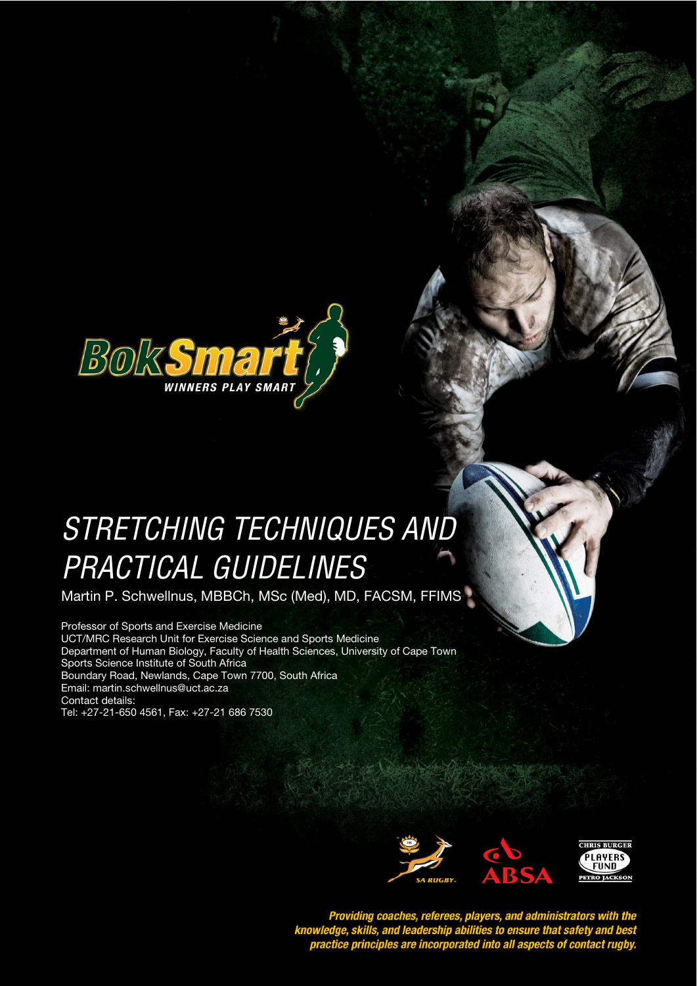

# STRETCHING TECHNIQUES AND **STYLE HEADING FOR TABLES**  PRACTICAL GUIDELINES

Martin P. Schwellnus, MBBCh, MSc (Med), MD, FACSM, FFIMS

Professor of Sports and Exercise Medicine UCT/MRC Research Unit for Exercise Science and Sports Medicine Department of Human Biology, Faculty of Health Sciences, University of Cape Town Sports Science Institute of South Africa Boundary Road, Newlands, Cape Town 7700, South Africa Email: martin.schwellnus@uct.ac.za Contact details: Tel: +27-21-650 4561, Fax: +27-21 686 7530



Providing coaches, referees, players, and administrators with the<br>knowledge, skills, and leadership abilities to ensure that safety and best<br>practice principles are incorporated into all aspects of contact rugby.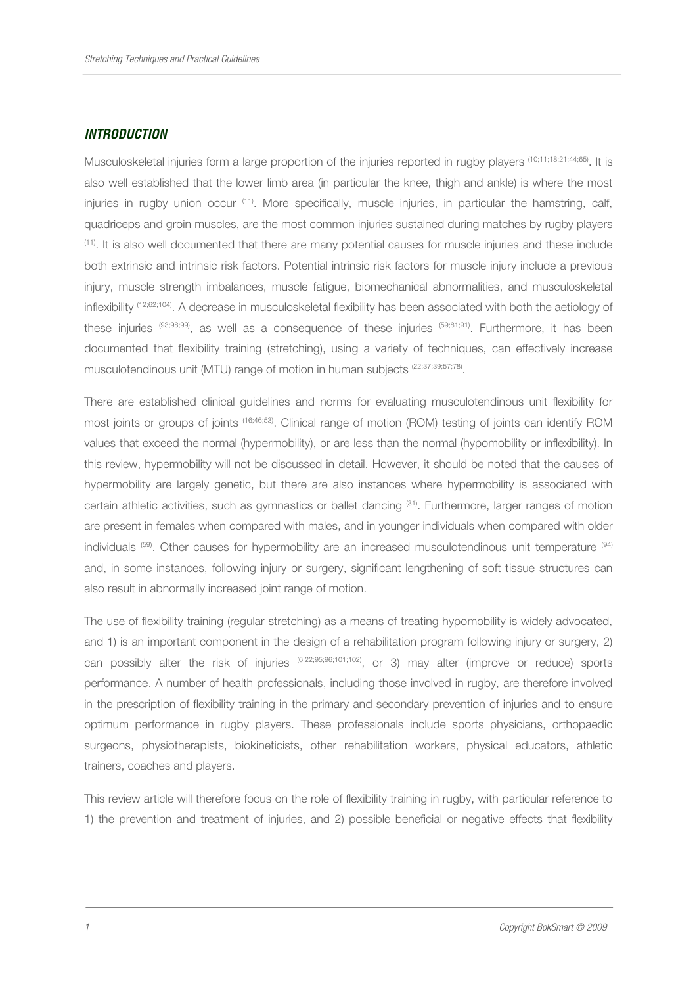#### **INTRODUCTION**

Musculoskeletal injuries form a large proportion of the injuries reported in rugby players (10;11;18;21;44;65). It is also well established that the lower limb area (in particular the knee, thigh and ankle) is where the most injuries in rugby union occur <sup>(11)</sup>. More specifically, muscle injuries, in particular the hamstring, calf, quadriceps and groin muscles, are the most common injuries sustained during matches by rugby players (11). It is also well documented that there are many potential causes for muscle injuries and these include both extrinsic and intrinsic risk factors. Potential intrinsic risk factors for muscle injury include a previous injury, muscle strength imbalances, muscle fatigue, biomechanical abnormalities, and musculoskeletal inflexibility (12;62;104). A decrease in musculoskeletal flexibility has been associated with both the aetiology of these injuries (93;98;99), as well as a consequence of these injuries (59;81;91). Furthermore, it has been documented that flexibility training (stretching), using a variety of techniques, can effectively increase musculotendinous unit (MTU) range of motion in human subjects <sup>(22,37,39,57,78)</sup>.

There are established clinical guidelines and norms for evaluating musculotendinous unit flexibility for most joints or groups of joints (16;46;53). Clinical range of motion (ROM) testing of joints can identify ROM values that exceed the normal (hypermobility), or are less than the normal (hypomobility or inflexibility). In this review, hypermobility will not be discussed in detail. However, it should be noted that the causes of hypermobility are largely genetic, but there are also instances where hypermobility is associated with certain athletic activities, such as gymnastics or ballet dancing (31). Furthermore, larger ranges of motion are present in females when compared with males, and in younger individuals when compared with older individuals (59). Other causes for hypermobility are an increased musculotendinous unit temperature (94) and, in some instances, following injury or surgery, significant lengthening of soft tissue structures can also result in abnormally increased joint range of motion.

The use of flexibility training (regular stretching) as a means of treating hypomobility is widely advocated, and 1) is an important component in the design of a rehabilitation program following injury or surgery, 2) can possibly alter the risk of injuries  $^{(6;22;95;96;101;102)}$ , or 3) may alter (improve or reduce) sports performance. A number of health professionals, including those involved in rugby, are therefore involved in the prescription of flexibility training in the primary and secondary prevention of injuries and to ensure optimum performance in rugby players. These professionals include sports physicians, orthopaedic surgeons, physiotherapists, biokineticists, other rehabilitation workers, physical educators, athletic trainers, coaches and players.

This review article will therefore focus on the role of flexibility training in rugby, with particular reference to 1) the prevention and treatment of injuries, and 2) possible beneficial or negative effects that flexibility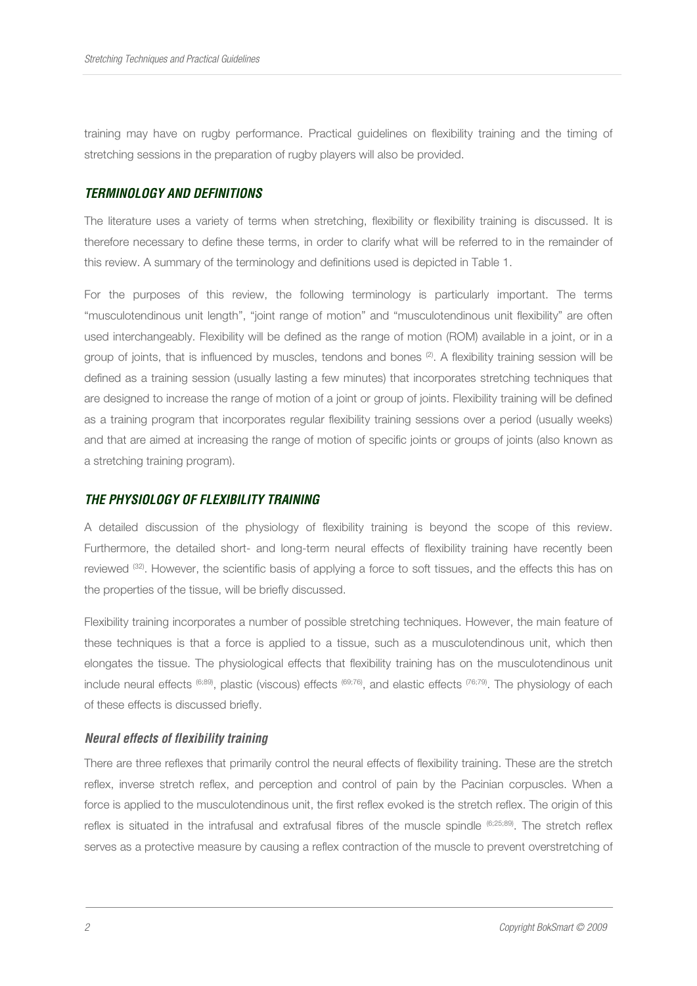training may have on rugby performance. Practical guidelines on flexibility training and the timing of stretching sessions in the preparation of rugby players will also be provided.

#### **TERMINOLOGY AND DEFINITIONS**

The literature uses a variety of terms when stretching, flexibility or flexibility training is discussed. It is therefore necessary to define these terms, in order to clarify what will be referred to in the remainder of this review. A summary of the terminology and definitions used is depicted in Table 1.

For the purposes of this review, the following terminology is particularly important. The terms "musculotendinous unit length", "joint range of motion" and "musculotendinous unit flexibility" are often used interchangeably. Flexibility will be defined as the range of motion (ROM) available in a joint, or in a group of joints, that is influenced by muscles, tendons and bones <sup>(2)</sup>. A flexibility training session will be defined as a training session (usually lasting a few minutes) that incorporates stretching techniques that are designed to increase the range of motion of a joint or group of joints. Flexibility training will be defined as a training program that incorporates regular flexibility training sessions over a period (usually weeks) and that are aimed at increasing the range of motion of specific joints or groups of joints (also known as a stretching training program).

#### **THE PHYSIOLOGY OF FLEXIBILITY TRAINING**

A detailed discussion of the physiology of flexibility training is beyond the scope of this review. Furthermore, the detailed short- and long-term neural effects of flexibility training have recently been reviewed (32). However, the scientific basis of applying a force to soft tissues, and the effects this has on the properties of the tissue, will be briefly discussed.

Flexibility training incorporates a number of possible stretching techniques. However, the main feature of these techniques is that a force is applied to a tissue, such as a musculotendinous unit, which then elongates the tissue. The physiological effects that flexibility training has on the musculotendinous unit include neural effects (6;89), plastic (viscous) effects (69;76), and elastic effects (76;79). The physiology of each of these effects is discussed briefly.

#### **Neural effects of flexibility training**

There are three reflexes that primarily control the neural effects of flexibility training. These are the stretch reflex, inverse stretch reflex, and perception and control of pain by the Pacinian corpuscles. When a force is applied to the musculotendinous unit, the first reflex evoked is the stretch reflex. The origin of this reflex is situated in the intrafusal and extrafusal fibres of the muscle spindle (6;25;89). The stretch reflex serves as a protective measure by causing a reflex contraction of the muscle to prevent overstretching of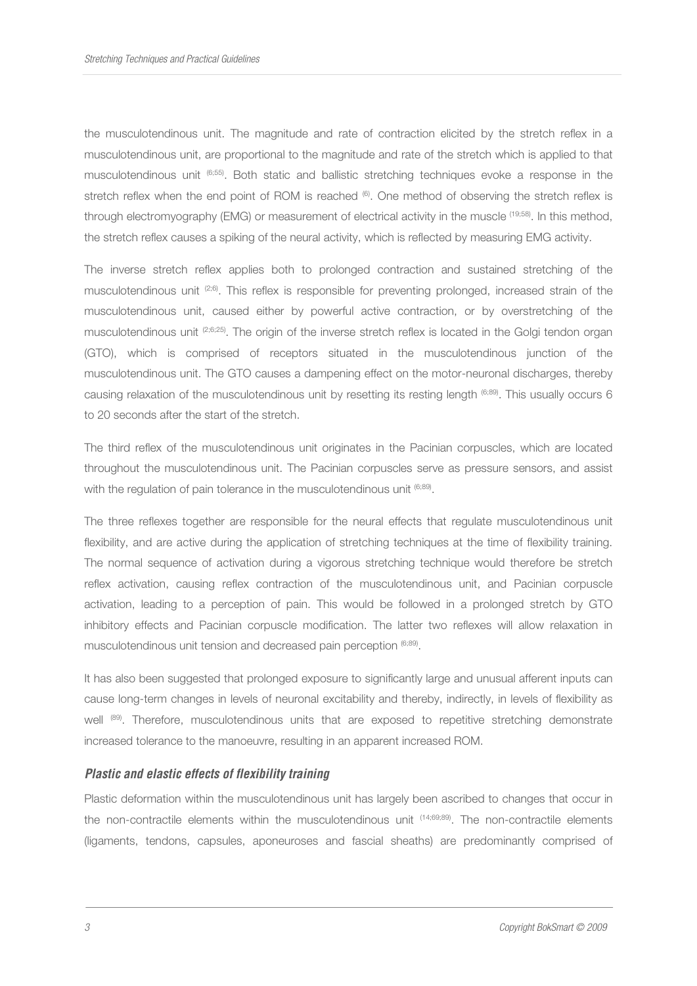the musculotendinous unit. The magnitude and rate of contraction elicited by the stretch reflex in a musculotendinous unit, are proportional to the magnitude and rate of the stretch which is applied to that musculotendinous unit (6;55). Both static and ballistic stretching techniques evoke a response in the stretch reflex when the end point of ROM is reached (6). One method of observing the stretch reflex is through electromyography (EMG) or measurement of electrical activity in the muscle (19;58). In this method, the stretch reflex causes a spiking of the neural activity, which is reflected by measuring EMG activity.

The inverse stretch reflex applies both to prolonged contraction and sustained stretching of the musculotendinous unit <sup>(2;6)</sup>. This reflex is responsible for preventing prolonged, increased strain of the musculotendinous unit, caused either by powerful active contraction, or by overstretching of the musculotendinous unit (2;6;25). The origin of the inverse stretch reflex is located in the Golgi tendon organ (GTO), which is comprised of receptors situated in the musculotendinous junction of the musculotendinous unit. The GTO causes a dampening effect on the motor-neuronal discharges, thereby causing relaxation of the musculotendinous unit by resetting its resting length (6;89). This usually occurs 6 to 20 seconds after the start of the stretch.

The third reflex of the musculotendinous unit originates in the Pacinian corpuscles, which are located throughout the musculotendinous unit. The Pacinian corpuscles serve as pressure sensors, and assist with the regulation of pain tolerance in the musculotendinous unit <sup>(6;89)</sup>.

The three reflexes together are responsible for the neural effects that regulate musculotendinous unit flexibility, and are active during the application of stretching techniques at the time of flexibility training. The normal sequence of activation during a vigorous stretching technique would therefore be stretch reflex activation, causing reflex contraction of the musculotendinous unit, and Pacinian corpuscle activation, leading to a perception of pain. This would be followed in a prolonged stretch by GTO inhibitory effects and Pacinian corpuscle modification. The latter two reflexes will allow relaxation in musculotendinous unit tension and decreased pain perception <sup>(6;89)</sup>.

It has also been suggested that prolonged exposure to significantly large and unusual afferent inputs can cause long-term changes in levels of neuronal excitability and thereby, indirectly, in levels of flexibility as well (89). Therefore, musculotendinous units that are exposed to repetitive stretching demonstrate increased tolerance to the manoeuvre, resulting in an apparent increased ROM.

#### **Plastic and elastic effects of flexibility training**

Plastic deformation within the musculotendinous unit has largely been ascribed to changes that occur in the non-contractile elements within the musculotendinous unit  $(14,69,89)$ . The non-contractile elements (ligaments, tendons, capsules, aponeuroses and fascial sheaths) are predominantly comprised of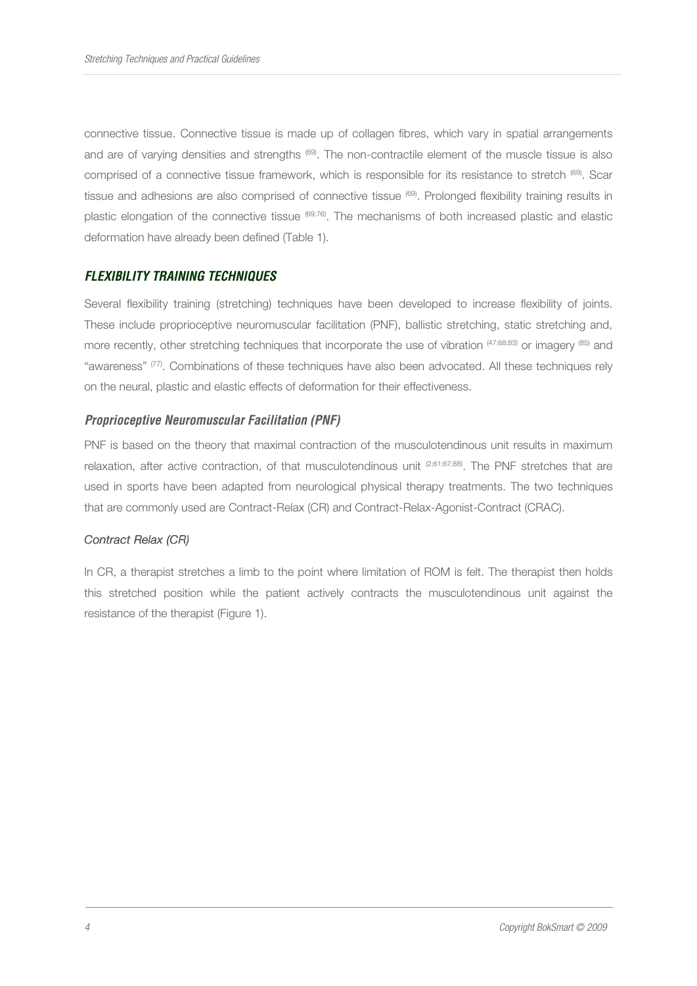connective tissue. Connective tissue is made up of collagen fibres, which vary in spatial arrangements and are of varying densities and strengths (69). The non-contractile element of the muscle tissue is also comprised of a connective tissue framework, which is responsible for its resistance to stretch <sup>(69)</sup>. Scar tissue and adhesions are also comprised of connective tissue (69). Prolonged flexibility training results in plastic elongation of the connective tissue (69;76). The mechanisms of both increased plastic and elastic deformation have already been defined (Table 1).

# **FLEXIBILITY TRAINING TECHNIQUES**

Several flexibility training (stretching) techniques have been developed to increase flexibility of joints. These include proprioceptive neuromuscular facilitation (PNF), ballistic stretching, static stretching and, more recently, other stretching techniques that incorporate the use of vibration  $(47;68;83)$  or imagery (85) and "awareness" <sup>(77)</sup>. Combinations of these techniques have also been advocated. All these techniques rely on the neural, plastic and elastic effects of deformation for their effectiveness.

#### **Proprioceptive Neuromuscular Facilitation (PNF)**

PNF is based on the theory that maximal contraction of the musculotendinous unit results in maximum relaxation, after active contraction, of that musculotendinous unit (2;61;67;88). The PNF stretches that are used in sports have been adapted from neurological physical therapy treatments. The two techniques that are commonly used are Contract-Relax (CR) and Contract-Relax-Agonist-Contract (CRAC).

#### Contract Relax (CR)

In CR, a therapist stretches a limb to the point where limitation of ROM is felt. The therapist then holds this stretched position while the patient actively contracts the musculotendinous unit against the resistance of the therapist (Figure 1).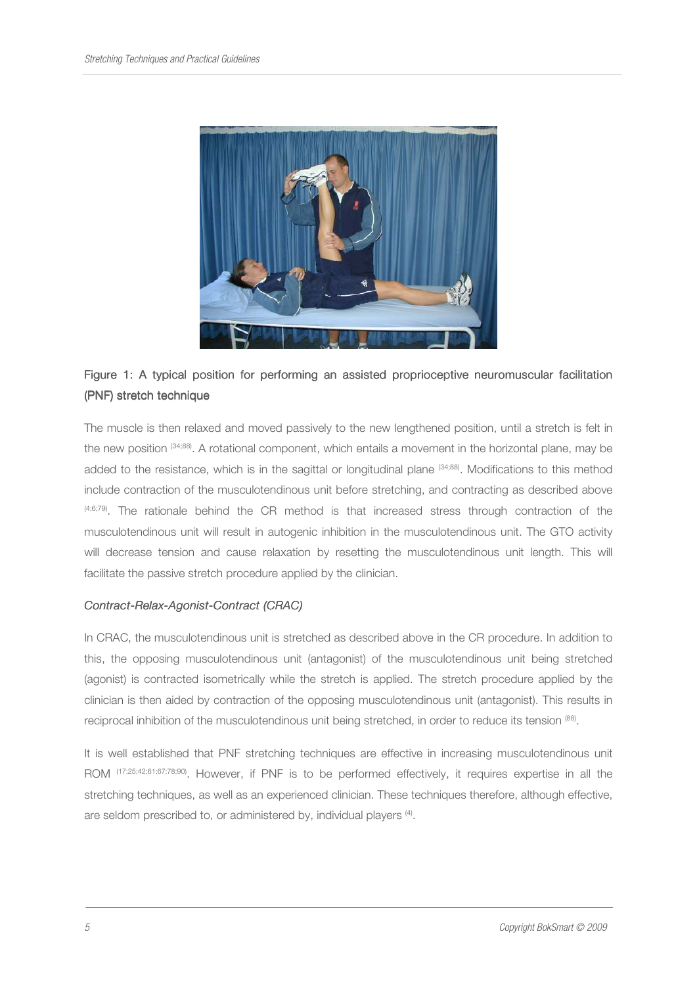

# Figure 1: A typical position for performing an assisted proprioceptive neuromuscular facilitation (PNF) stretch technique

The muscle is then relaxed and moved passively to the new lengthened position, until a stretch is felt in the new position (34;88). A rotational component, which entails a movement in the horizontal plane, may be added to the resistance, which is in the sagittal or longitudinal plane <sup>(34;88)</sup>. Modifications to this method include contraction of the musculotendinous unit before stretching, and contracting as described above (4;6;79). The rationale behind the CR method is that increased stress through contraction of the musculotendinous unit will result in autogenic inhibition in the musculotendinous unit. The GTO activity will decrease tension and cause relaxation by resetting the musculotendinous unit length. This will facilitate the passive stretch procedure applied by the clinician.

#### Contract-Relax-Agonist-Contract (CRAC)

In CRAC, the musculotendinous unit is stretched as described above in the CR procedure. In addition to this, the opposing musculotendinous unit (antagonist) of the musculotendinous unit being stretched (agonist) is contracted isometrically while the stretch is applied. The stretch procedure applied by the clinician is then aided by contraction of the opposing musculotendinous unit (antagonist). This results in reciprocal inhibition of the musculotendinous unit being stretched, in order to reduce its tension (88).

It is well established that PNF stretching techniques are effective in increasing musculotendinous unit ROM (17;25;42;61;67;78;90). However, if PNF is to be performed effectively, it requires expertise in all the stretching techniques, as well as an experienced clinician. These techniques therefore, although effective, are seldom prescribed to, or administered by, individual players <sup>(4)</sup>.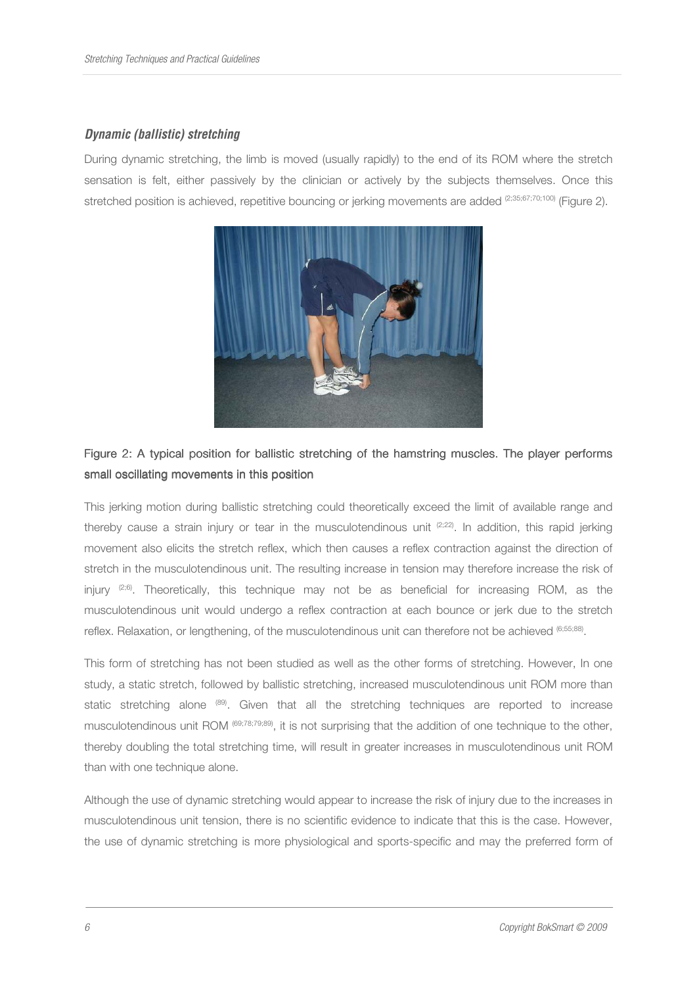# **Dynamic (ballistic) stretching**

During dynamic stretching, the limb is moved (usually rapidly) to the end of its ROM where the stretch sensation is felt, either passively by the clinician or actively by the subjects themselves. Once this stretched position is achieved, repetitive bouncing or jerking movements are added (2;35;67;70;100) (Figure 2).



# Figure 2: A typical position for ballistic stretching of the hamstring muscles. The player performs small oscillating movements in this position

This jerking motion during ballistic stretching could theoretically exceed the limit of available range and thereby cause a strain injury or tear in the musculotendinous unit  $(2,22)$ . In addition, this rapid jerking movement also elicits the stretch reflex, which then causes a reflex contraction against the direction of stretch in the musculotendinous unit. The resulting increase in tension may therefore increase the risk of injury  $(2,6)$ . Theoretically, this technique may not be as beneficial for increasing ROM, as the musculotendinous unit would undergo a reflex contraction at each bounce or jerk due to the stretch reflex. Relaxation, or lengthening, of the musculotendinous unit can therefore not be achieved (6;55;88).

This form of stretching has not been studied as well as the other forms of stretching. However, In one study, a static stretch, followed by ballistic stretching, increased musculotendinous unit ROM more than static stretching alone <sup>(89)</sup>. Given that all the stretching techniques are reported to increase musculotendinous unit ROM (69;78;79;89), it is not surprising that the addition of one technique to the other, thereby doubling the total stretching time, will result in greater increases in musculotendinous unit ROM than with one technique alone.

Although the use of dynamic stretching would appear to increase the risk of injury due to the increases in musculotendinous unit tension, there is no scientific evidence to indicate that this is the case. However, the use of dynamic stretching is more physiological and sports-specific and may the preferred form of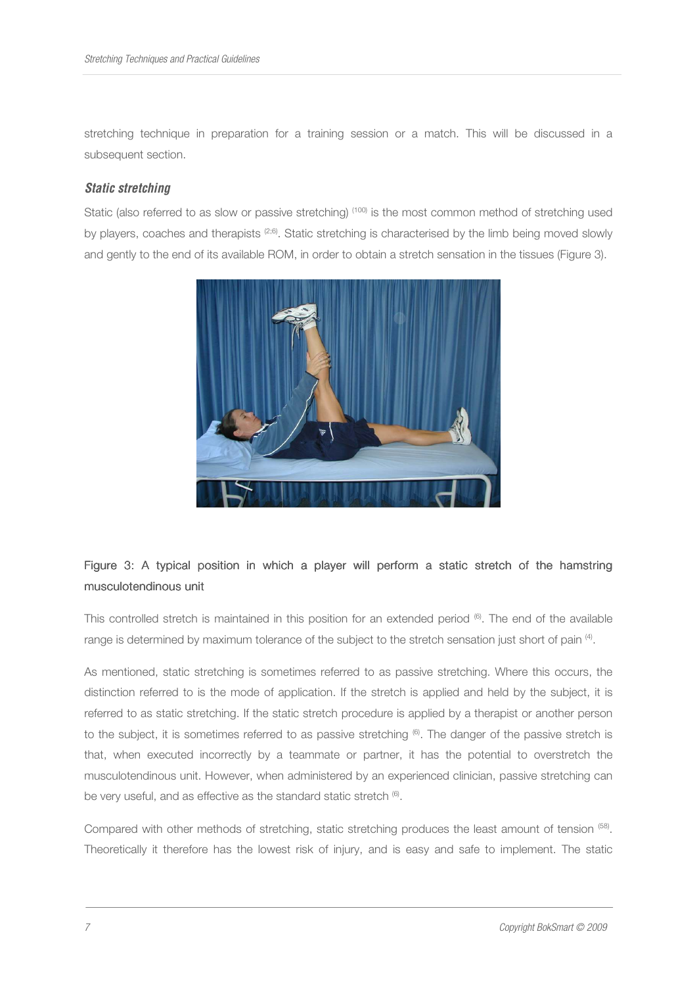stretching technique in preparation for a training session or a match. This will be discussed in a subsequent section.

#### **Static stretching**

Static (also referred to as slow or passive stretching) (100) is the most common method of stretching used by players, coaches and therapists (2;6). Static stretching is characterised by the limb being moved slowly and gently to the end of its available ROM, in order to obtain a stretch sensation in the tissues (Figure 3).



# Figure 3: A typical position in which a player will perform a static stretch of the hamstring musculotendinous unit

This controlled stretch is maintained in this position for an extended period <sup>6</sup>. The end of the available range is determined by maximum tolerance of the subject to the stretch sensation just short of pain <sup>(4)</sup>.

As mentioned, static stretching is sometimes referred to as passive stretching. Where this occurs, the distinction referred to is the mode of application. If the stretch is applied and held by the subject, it is referred to as static stretching. If the static stretch procedure is applied by a therapist or another person to the subject, it is sometimes referred to as passive stretching  $\mathcal{F}$ . The danger of the passive stretch is that, when executed incorrectly by a teammate or partner, it has the potential to overstretch the musculotendinous unit. However, when administered by an experienced clinician, passive stretching can be very useful, and as effective as the standard static stretch  $\epsilon$ .

Compared with other methods of stretching, static stretching produces the least amount of tension <sup>(58)</sup>. Theoretically it therefore has the lowest risk of injury, and is easy and safe to implement. The static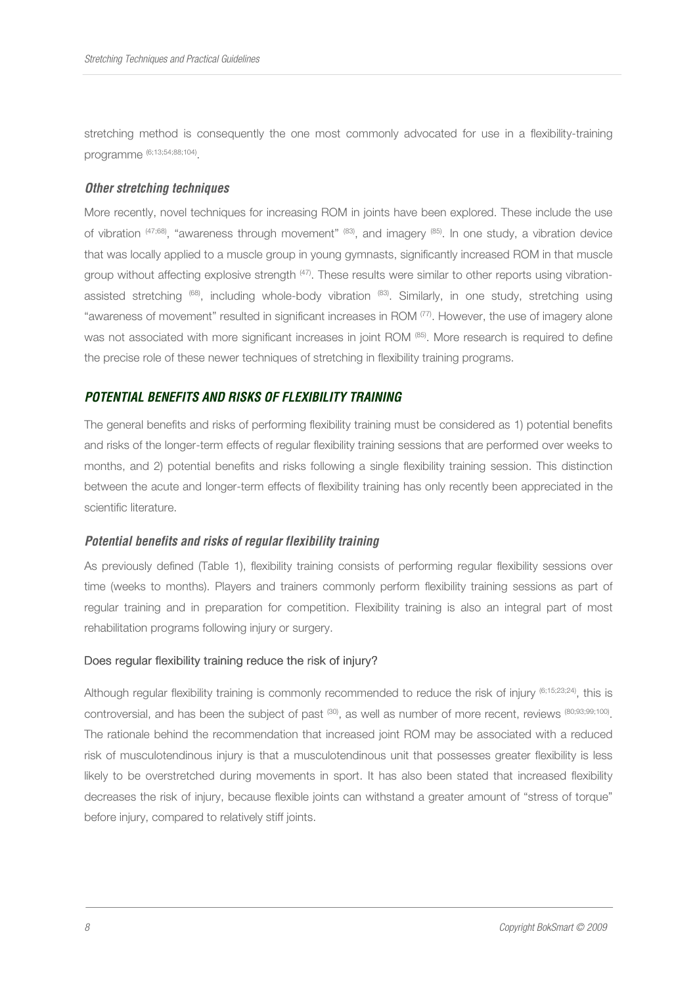stretching method is consequently the one most commonly advocated for use in a flexibility-training programme (6;13;54;88;104) .

### **Other stretching techniques**

More recently, novel techniques for increasing ROM in joints have been explored. These include the use of vibration  $(47;68)$ , "awareness through movement"  $(83)$ , and imagery  $(85)$ . In one study, a vibration device that was locally applied to a muscle group in young gymnasts, significantly increased ROM in that muscle group without affecting explosive strength (47). These results were similar to other reports using vibrationassisted stretching (68), including whole-body vibration (83). Similarly, in one study, stretching using "awareness of movement" resulted in significant increases in ROM (77). However, the use of imagery alone was not associated with more significant increases in joint ROM (85). More research is required to define the precise role of these newer techniques of stretching in flexibility training programs.

# **POTENTIAL BENEFITS AND RISKS OF FLEXIBILITY TRAINING**

The general benefits and risks of performing flexibility training must be considered as 1) potential benefits and risks of the longer-term effects of regular flexibility training sessions that are performed over weeks to months, and 2) potential benefits and risks following a single flexibility training session. This distinction between the acute and longer-term effects of flexibility training has only recently been appreciated in the scientific literature.

#### **Potential benefits and risks of regular flexibility training**

As previously defined (Table 1), flexibility training consists of performing regular flexibility sessions over time (weeks to months). Players and trainers commonly perform flexibility training sessions as part of regular training and in preparation for competition. Flexibility training is also an integral part of most rehabilitation programs following injury or surgery.

#### Does regular flexibility training reduce the risk of injury?

Although regular flexibility training is commonly recommended to reduce the risk of injury (6;15;23;24), this is controversial, and has been the subject of past <sup>(30)</sup>, as well as number of more recent, reviews <sup>(80;93;99;100)</sup>. The rationale behind the recommendation that increased joint ROM may be associated with a reduced risk of musculotendinous injury is that a musculotendinous unit that possesses greater flexibility is less likely to be overstretched during movements in sport. It has also been stated that increased flexibility decreases the risk of injury, because flexible joints can withstand a greater amount of "stress of torque" before injury, compared to relatively stiff joints.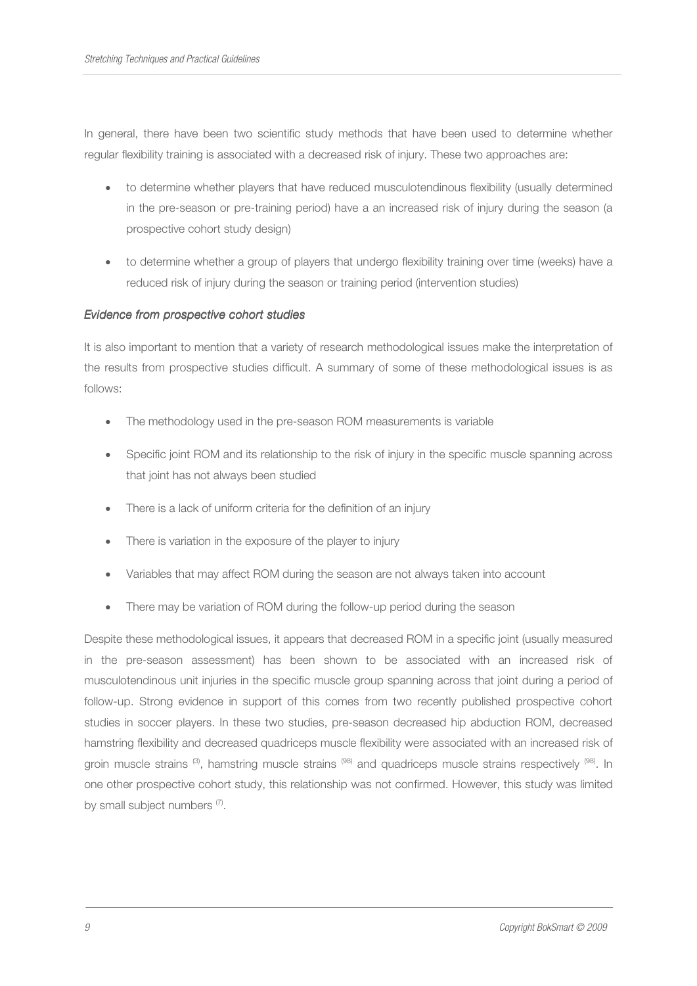In general, there have been two scientific study methods that have been used to determine whether regular flexibility training is associated with a decreased risk of injury. These two approaches are:

- to determine whether players that have reduced musculotendinous flexibility (usually determined in the pre-season or pre-training period) have a an increased risk of injury during the season (a prospective cohort study design)
- to determine whether a group of players that undergo flexibility training over time (weeks) have a reduced risk of injury during the season or training period (intervention studies)

### Evidence from prospective cohort studies

It is also important to mention that a variety of research methodological issues make the interpretation of the results from prospective studies difficult. A summary of some of these methodological issues is as follows:

- The methodology used in the pre-season ROM measurements is variable
- Specific joint ROM and its relationship to the risk of injury in the specific muscle spanning across that joint has not always been studied
- There is a lack of uniform criteria for the definition of an injury
- There is variation in the exposure of the player to injury
- Variables that may affect ROM during the season are not always taken into account
- There may be variation of ROM during the follow-up period during the season

Despite these methodological issues, it appears that decreased ROM in a specific joint (usually measured in the pre-season assessment) has been shown to be associated with an increased risk of musculotendinous unit injuries in the specific muscle group spanning across that joint during a period of follow-up. Strong evidence in support of this comes from two recently published prospective cohort studies in soccer players. In these two studies, pre-season decreased hip abduction ROM, decreased hamstring flexibility and decreased quadriceps muscle flexibility were associated with an increased risk of groin muscle strains (3), hamstring muscle strains (98) and quadriceps muscle strains respectively (98). In one other prospective cohort study, this relationship was not confirmed. However, this study was limited by small subject numbers (7).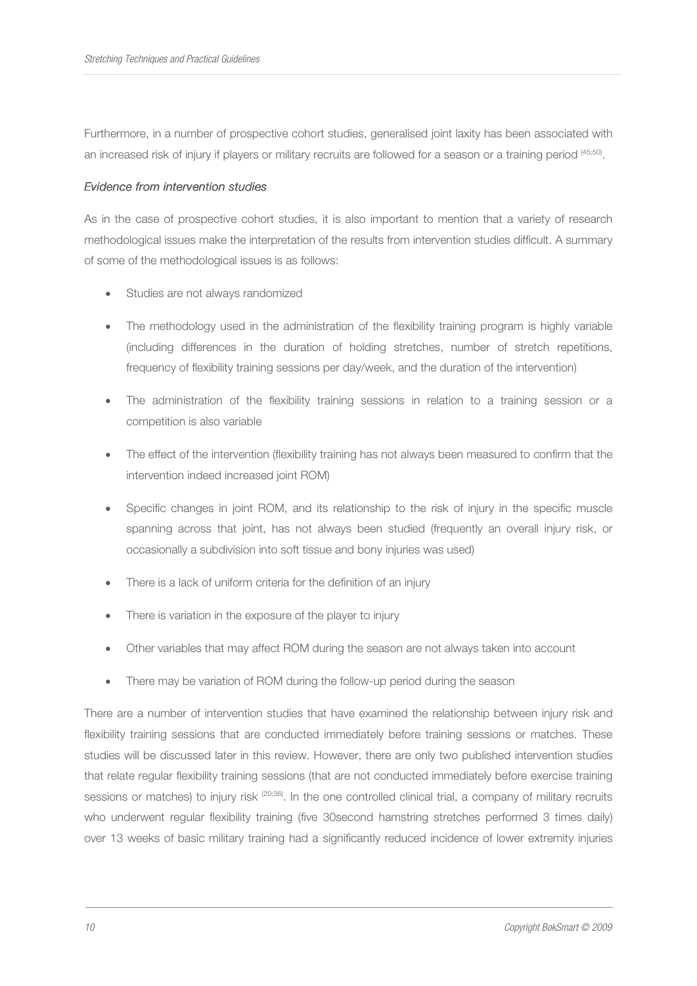Furthermore, in a number of prospective cohort studies, generalised joint laxity has been associated with an increased risk of injury if players or military recruits are followed for a season or a training period <sup>(45;50)</sup>.

### Evidence from intervention studies

As in the case of prospective cohort studies, it is also important to mention that a variety of research methodological issues make the interpretation of the results from intervention studies difficult. A summary of some of the methodological issues is as follows:

- Studies are not always randomized
- The methodology used in the administration of the flexibility training program is highly variable (including differences in the duration of holding stretches, number of stretch repetitions, frequency of flexibility training sessions per day/week, and the duration of the intervention)
- The administration of the flexibility training sessions in relation to a training session or a competition is also variable
- The effect of the intervention (flexibility training has not always been measured to confirm that the intervention indeed increased joint ROM)
- Specific changes in joint ROM, and its relationship to the risk of injury in the specific muscle spanning across that joint, has not always been studied (frequently an overall injury risk, or occasionally a subdivision into soft tissue and bony injuries was used)
- There is a lack of uniform criteria for the definition of an injury
- There is variation in the exposure of the player to injury
- Other variables that may affect ROM during the season are not always taken into account
- There may be variation of ROM during the follow-up period during the season

There are a number of intervention studies that have examined the relationship between injury risk and flexibility training sessions that are conducted immediately before training sessions or matches. These studies will be discussed later in this review. However, there are only two published intervention studies that relate regular flexibility training sessions (that are not conducted immediately before exercise training sessions or matches) to injury risk <sup>(20;36)</sup>. In the one controlled clinical trial, a company of military recruits who underwent regular flexibility training (five 30second hamstring stretches performed 3 times daily) over 13 weeks of basic military training had a significantly reduced incidence of lower extremity injuries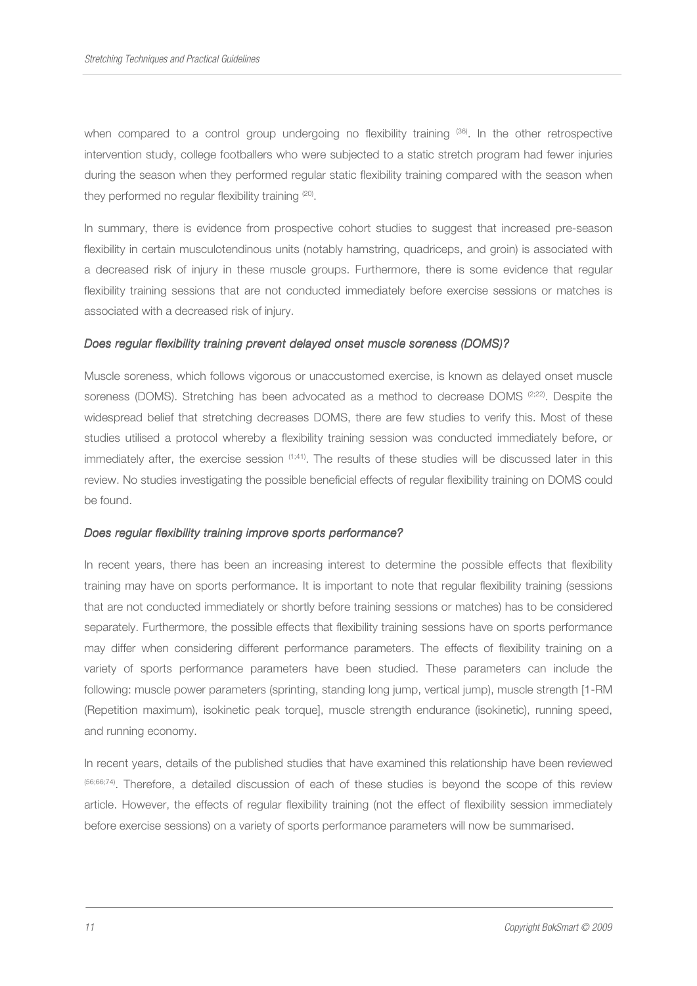when compared to a control group undergoing no flexibility training <sup>(36)</sup>. In the other retrospective intervention study, college footballers who were subjected to a static stretch program had fewer injuries during the season when they performed regular static flexibility training compared with the season when they performed no regular flexibility training <sup>(20)</sup>.

In summary, there is evidence from prospective cohort studies to suggest that increased pre-season flexibility in certain musculotendinous units (notably hamstring, quadriceps, and groin) is associated with a decreased risk of injury in these muscle groups. Furthermore, there is some evidence that regular flexibility training sessions that are not conducted immediately before exercise sessions or matches is associated with a decreased risk of injury.

#### Does regular flexibility training prevent delayed onset muscle soreness (DOMS)?

Muscle soreness, which follows vigorous or unaccustomed exercise, is known as delayed onset muscle soreness (DOMS). Stretching has been advocated as a method to decrease DOMS  $(2,22)$ . Despite the widespread belief that stretching decreases DOMS, there are few studies to verify this. Most of these studies utilised a protocol whereby a flexibility training session was conducted immediately before, or immediately after, the exercise session  $(1;41)$ . The results of these studies will be discussed later in this review. No studies investigating the possible beneficial effects of regular flexibility training on DOMS could be found.

#### Does regular flexibility training improve sports performance?

In recent years, there has been an increasing interest to determine the possible effects that flexibility training may have on sports performance. It is important to note that regular flexibility training (sessions that are not conducted immediately or shortly before training sessions or matches) has to be considered separately. Furthermore, the possible effects that flexibility training sessions have on sports performance may differ when considering different performance parameters. The effects of flexibility training on a variety of sports performance parameters have been studied. These parameters can include the following: muscle power parameters (sprinting, standing long jump, vertical jump), muscle strength [1-RM (Repetition maximum), isokinetic peak torque], muscle strength endurance (isokinetic), running speed, and running economy.

In recent years, details of the published studies that have examined this relationship have been reviewed (56;66;74). Therefore, a detailed discussion of each of these studies is beyond the scope of this review article. However, the effects of regular flexibility training (not the effect of flexibility session immediately before exercise sessions) on a variety of sports performance parameters will now be summarised.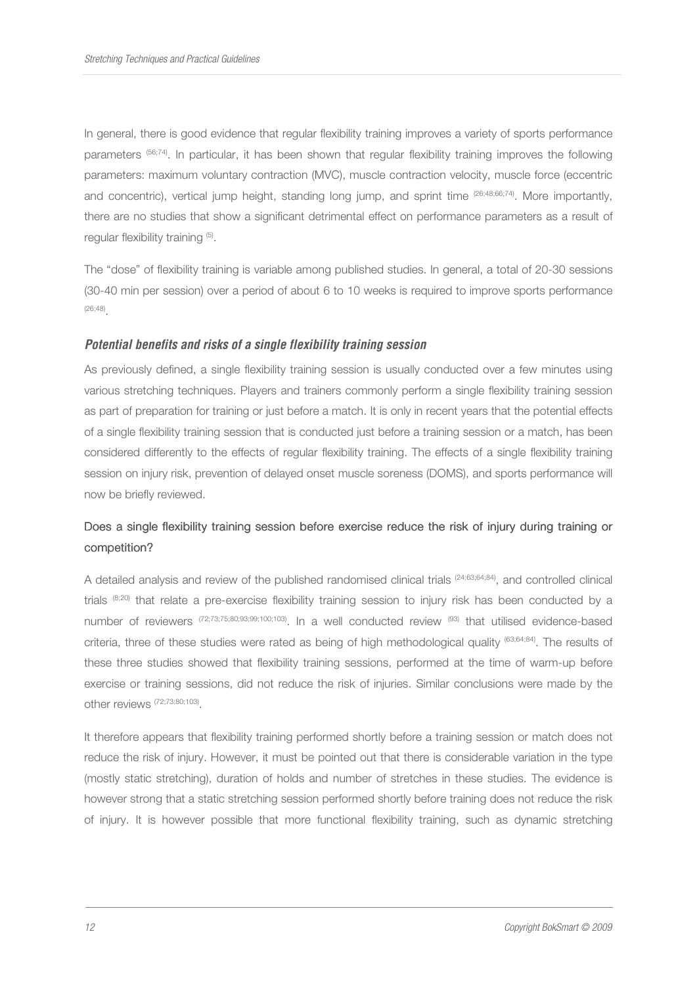In general, there is good evidence that regular flexibility training improves a variety of sports performance parameters (56;74). In particular, it has been shown that regular flexibility training improves the following parameters: maximum voluntary contraction (MVC), muscle contraction velocity, muscle force (eccentric and concentric), vertical jump height, standing long jump, and sprint time <sup>(26;48;66;74)</sup>. More importantly, there are no studies that show a significant detrimental effect on performance parameters as a result of regular flexibility training (5).

The "dose" of flexibility training is variable among published studies. In general, a total of 20-30 sessions (30-40 min per session) over a period of about 6 to 10 weeks is required to improve sports performance (26;48) .

#### **Potential benefits and risks of a single flexibility training session**

As previously defined, a single flexibility training session is usually conducted over a few minutes using various stretching techniques. Players and trainers commonly perform a single flexibility training session as part of preparation for training or just before a match. It is only in recent years that the potential effects of a single flexibility training session that is conducted just before a training session or a match, has been considered differently to the effects of regular flexibility training. The effects of a single flexibility training session on injury risk, prevention of delayed onset muscle soreness (DOMS), and sports performance will now be briefly reviewed.

# Does a single flexibility training session before exercise reduce the risk of injury during training or competition?

A detailed analysis and review of the published randomised clinical trials  $(24;63;64;84)$ , and controlled clinical trials (8;20) that relate a pre-exercise flexibility training session to injury risk has been conducted by a number of reviewers (72;73;75;80;93;99;100;103). In a well conducted review (93) that utilised evidence-based criteria, three of these studies were rated as being of high methodological quality (63;64;84). The results of these three studies showed that flexibility training sessions, performed at the time of warm-up before exercise or training sessions, did not reduce the risk of injuries. Similar conclusions were made by the other reviews (72;73;80;103) .

It therefore appears that flexibility training performed shortly before a training session or match does not reduce the risk of injury. However, it must be pointed out that there is considerable variation in the type (mostly static stretching), duration of holds and number of stretches in these studies. The evidence is however strong that a static stretching session performed shortly before training does not reduce the risk of injury. It is however possible that more functional flexibility training, such as dynamic stretching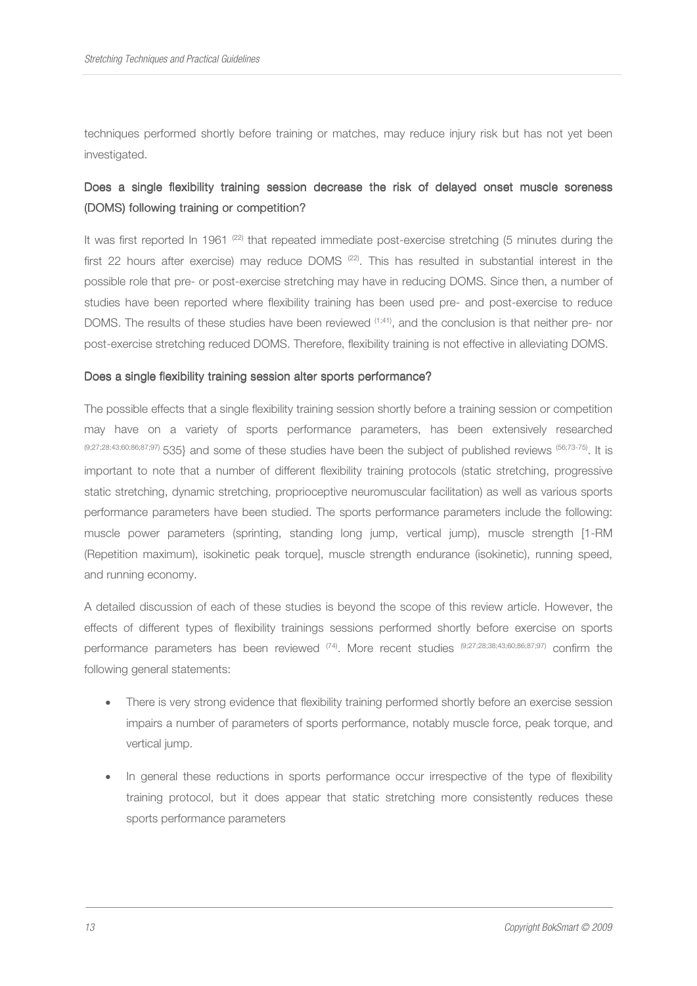techniques performed shortly before training or matches, may reduce injury risk but has not yet been investigated.

# Does a single flexibility training session decrease the risk of delayed onset muscle soreness (DOMS) following training or competition?

It was first reported In 1961 <sup>(22)</sup> that repeated immediate post-exercise stretching (5 minutes during the first 22 hours after exercise) may reduce DOMS  $(22)$ . This has resulted in substantial interest in the possible role that pre- or post-exercise stretching may have in reducing DOMS. Since then, a number of studies have been reported where flexibility training has been used pre- and post-exercise to reduce DOMS. The results of these studies have been reviewed (1;41), and the conclusion is that neither pre- nor post-exercise stretching reduced DOMS. Therefore, flexibility training is not effective in alleviating DOMS.

#### Does a single flexibility training session alter sports performance?

The possible effects that a single flexibility training session shortly before a training session or competition may have on a variety of sports performance parameters, has been extensively researched (9;27;28;43;60;86;87;97) 535} and some of these studies have been the subject of published reviews (56;73-75). It is important to note that a number of different flexibility training protocols (static stretching, progressive static stretching, dynamic stretching, proprioceptive neuromuscular facilitation) as well as various sports performance parameters have been studied. The sports performance parameters include the following: muscle power parameters (sprinting, standing long jump, vertical jump), muscle strength [1-RM (Repetition maximum), isokinetic peak torque], muscle strength endurance (isokinetic), running speed, and running economy.

A detailed discussion of each of these studies is beyond the scope of this review article. However, the effects of different types of flexibility trainings sessions performed shortly before exercise on sports performance parameters has been reviewed (74). More recent studies (9;27;28;38;43;60;86;87;97) confirm the following general statements:

- There is very strong evidence that flexibility training performed shortly before an exercise session impairs a number of parameters of sports performance, notably muscle force, peak torque, and vertical jump.
- In general these reductions in sports performance occur irrespective of the type of flexibility training protocol, but it does appear that static stretching more consistently reduces these sports performance parameters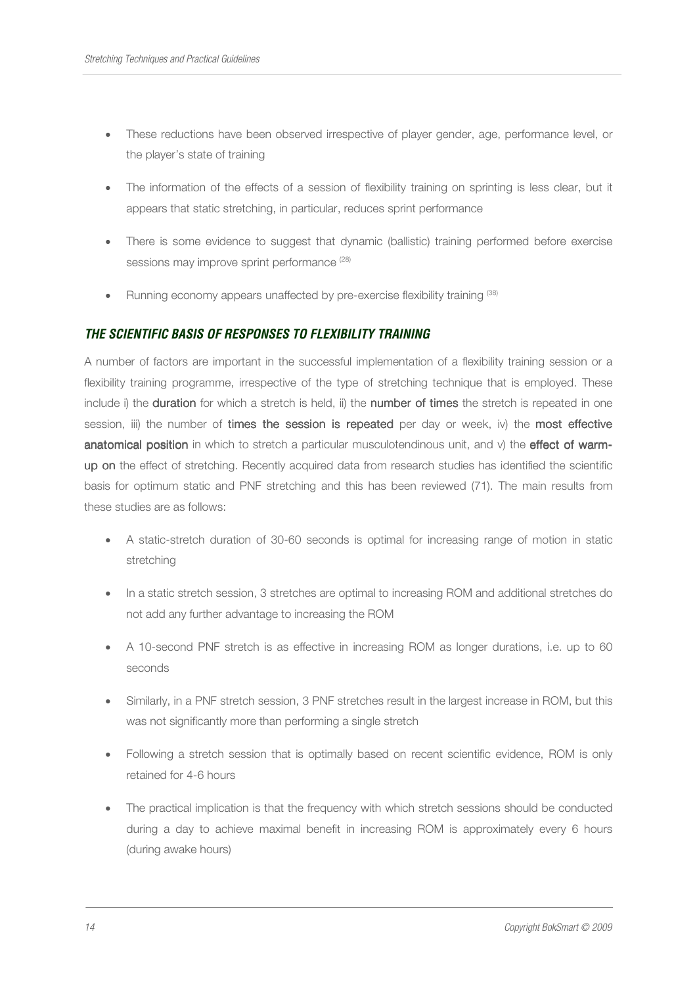- These reductions have been observed irrespective of player gender, age, performance level, or the player's state of training
- The information of the effects of a session of flexibility training on sprinting is less clear, but it appears that static stretching, in particular, reduces sprint performance
- There is some evidence to suggest that dynamic (ballistic) training performed before exercise sessions may improve sprint performance<sup>(28)</sup>
- Running economy appears unaffected by pre-exercise flexibility training (38)

# **THE SCIENTIFIC BASIS OF RESPONSES TO FLEXIBILITY TRAINING**

A number of factors are important in the successful implementation of a flexibility training session or a flexibility training programme, irrespective of the type of stretching technique that is employed. These include i) the duration for which a stretch is held, ii) the number of times the stretch is repeated in one session, iii) the number of times the session is repeated per day or week, iv) the most effective anatomical position in which to stretch a particular musculotendinous unit, and  $\nu$ ) the effect of warmup on the effect of stretching. Recently acquired data from research studies has identified the scientific basis for optimum static and PNF stretching and this has been reviewed (71). The main results from these studies are as follows:

- A static-stretch duration of 30-60 seconds is optimal for increasing range of motion in static stretching
- In a static stretch session, 3 stretches are optimal to increasing ROM and additional stretches do not add any further advantage to increasing the ROM
- A 10-second PNF stretch is as effective in increasing ROM as longer durations, i.e. up to 60 seconds
- Similarly, in a PNF stretch session, 3 PNF stretches result in the largest increase in ROM, but this was not significantly more than performing a single stretch
- Following a stretch session that is optimally based on recent scientific evidence, ROM is only retained for 4-6 hours
- The practical implication is that the frequency with which stretch sessions should be conducted during a day to achieve maximal benefit in increasing ROM is approximately every 6 hours (during awake hours)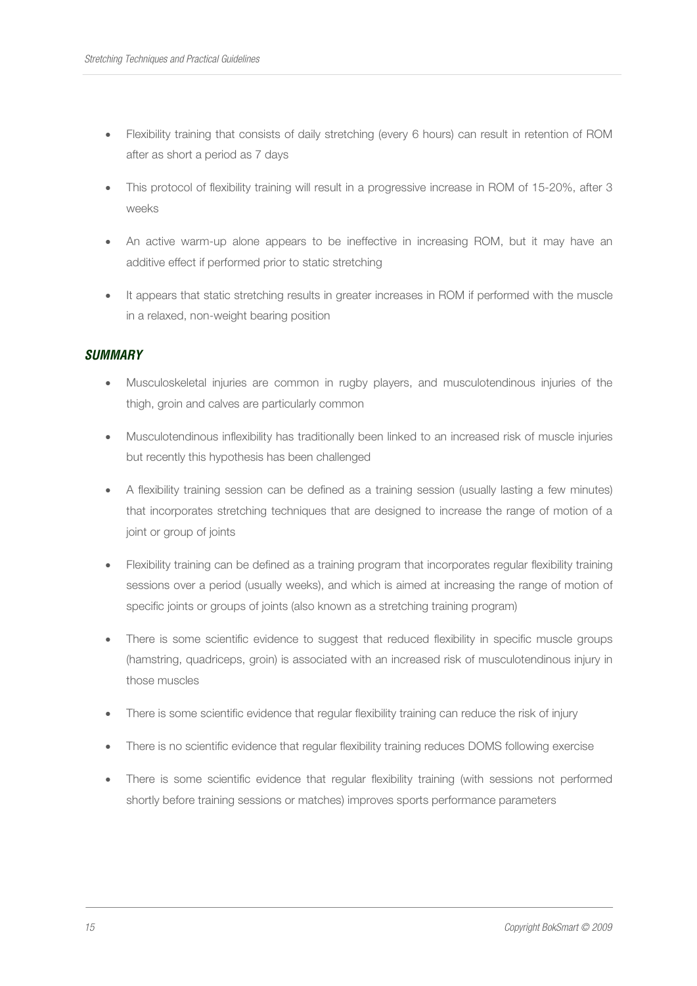- Flexibility training that consists of daily stretching (every 6 hours) can result in retention of ROM after as short a period as 7 days
- This protocol of flexibility training will result in a progressive increase in ROM of 15-20%, after 3 weeks
- An active warm-up alone appears to be ineffective in increasing ROM, but it may have an additive effect if performed prior to static stretching
- It appears that static stretching results in greater increases in ROM if performed with the muscle in a relaxed, non-weight bearing position

# **SUMMARY**

- Musculoskeletal injuries are common in rugby players, and musculotendinous injuries of the thigh, groin and calves are particularly common
- Musculotendinous inflexibility has traditionally been linked to an increased risk of muscle injuries but recently this hypothesis has been challenged
- A flexibility training session can be defined as a training session (usually lasting a few minutes) that incorporates stretching techniques that are designed to increase the range of motion of a joint or group of joints
- Flexibility training can be defined as a training program that incorporates regular flexibility training sessions over a period (usually weeks), and which is aimed at increasing the range of motion of specific joints or groups of joints (also known as a stretching training program)
- There is some scientific evidence to suggest that reduced flexibility in specific muscle groups (hamstring, quadriceps, groin) is associated with an increased risk of musculotendinous injury in those muscles
- There is some scientific evidence that regular flexibility training can reduce the risk of injury
- There is no scientific evidence that regular flexibility training reduces DOMS following exercise
- There is some scientific evidence that regular flexibility training (with sessions not performed shortly before training sessions or matches) improves sports performance parameters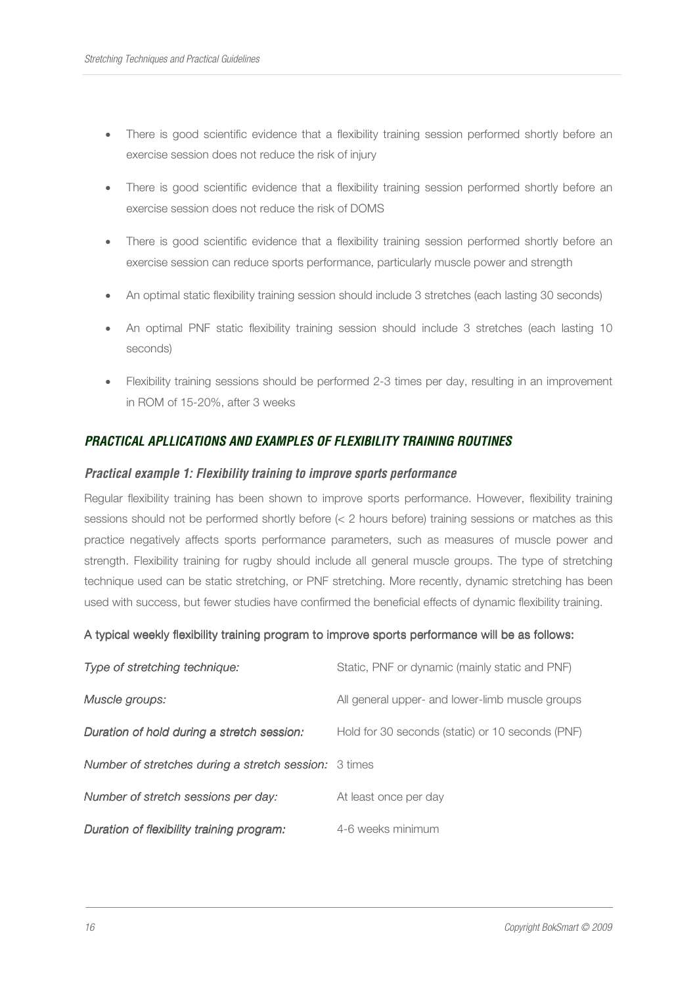- There is good scientific evidence that a flexibility training session performed shortly before an exercise session does not reduce the risk of injury
- There is good scientific evidence that a flexibility training session performed shortly before an exercise session does not reduce the risk of DOMS
- There is good scientific evidence that a flexibility training session performed shortly before an exercise session can reduce sports performance, particularly muscle power and strength
- An optimal static flexibility training session should include 3 stretches (each lasting 30 seconds)
- An optimal PNF static flexibility training session should include 3 stretches (each lasting 10 seconds)
- Flexibility training sessions should be performed 2-3 times per day, resulting in an improvement in ROM of 15-20%, after 3 weeks

# **PRACTICAL APLLICATIONS AND EXAMPLES OF FLEXIBILITY TRAINING ROUTINES**

#### **Practical example 1: Flexibility training to improve sports performance**

Regular flexibility training has been shown to improve sports performance. However, flexibility training sessions should not be performed shortly before (< 2 hours before) training sessions or matches as this practice negatively affects sports performance parameters, such as measures of muscle power and strength. Flexibility training for rugby should include all general muscle groups. The type of stretching technique used can be static stretching, or PNF stretching. More recently, dynamic stretching has been used with success, but fewer studies have confirmed the beneficial effects of dynamic flexibility training.

#### A typical weekly flexibility training program to improve sports performance will be as follows:

| Type of stretching technique:                                | Static, PNF or dynamic (mainly static and PNF)   |  |
|--------------------------------------------------------------|--------------------------------------------------|--|
| Muscle groups:                                               | All general upper- and lower-limb muscle groups  |  |
| Duration of hold during a stretch session:                   | Hold for 30 seconds (static) or 10 seconds (PNF) |  |
| <b>Number of stretches during a stretch session:</b> 3 times |                                                  |  |
| Number of stretch sessions per day:                          | At least once per day                            |  |
| Duration of flexibility training program:                    | 4-6 weeks minimum                                |  |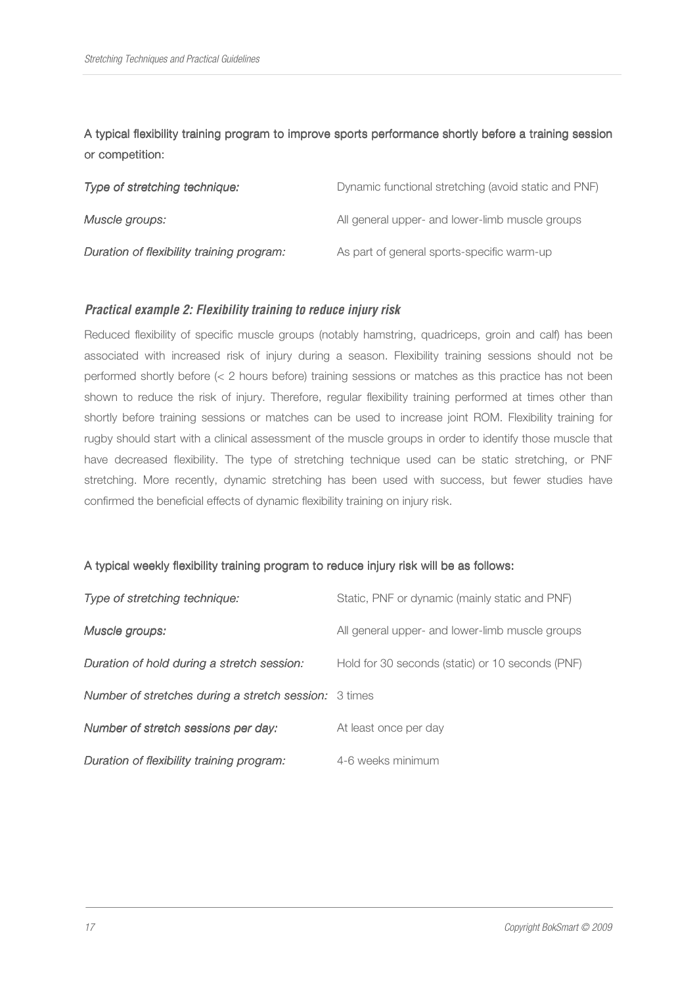A typical flexibility training program to improve sports performance shortly before a training session or competition:

| Type of stretching technique:             | Dynamic functional stretching (avoid static and PNF) |
|-------------------------------------------|------------------------------------------------------|
| Muscle groups:                            | All general upper- and lower-limb muscle groups      |
| Duration of flexibility training program: | As part of general sports-specific warm-up           |

# **Practical example 2: Flexibility training to reduce injury risk**

Reduced flexibility of specific muscle groups (notably hamstring, quadriceps, groin and calf) has been associated with increased risk of injury during a season. Flexibility training sessions should not be performed shortly before (< 2 hours before) training sessions or matches as this practice has not been shown to reduce the risk of injury. Therefore, regular flexibility training performed at times other than shortly before training sessions or matches can be used to increase joint ROM. Flexibility training for rugby should start with a clinical assessment of the muscle groups in order to identify those muscle that have decreased flexibility. The type of stretching technique used can be static stretching, or PNF stretching. More recently, dynamic stretching has been used with success, but fewer studies have confirmed the beneficial effects of dynamic flexibility training on injury risk.

#### A typical weekly flexibility training program to reduce injury risk will be as follows:

| Type of stretching technique:                                | Static, PNF or dynamic (mainly static and PNF)   |
|--------------------------------------------------------------|--------------------------------------------------|
| Muscle groups:                                               | All general upper- and lower-limb muscle groups  |
| Duration of hold during a stretch session:                   | Hold for 30 seconds (static) or 10 seconds (PNF) |
| <b>Number of stretches during a stretch session:</b> 3 times |                                                  |
| Number of stretch sessions per day:                          | At least once per day                            |
| Duration of flexibility training program:                    | 4-6 weeks minimum                                |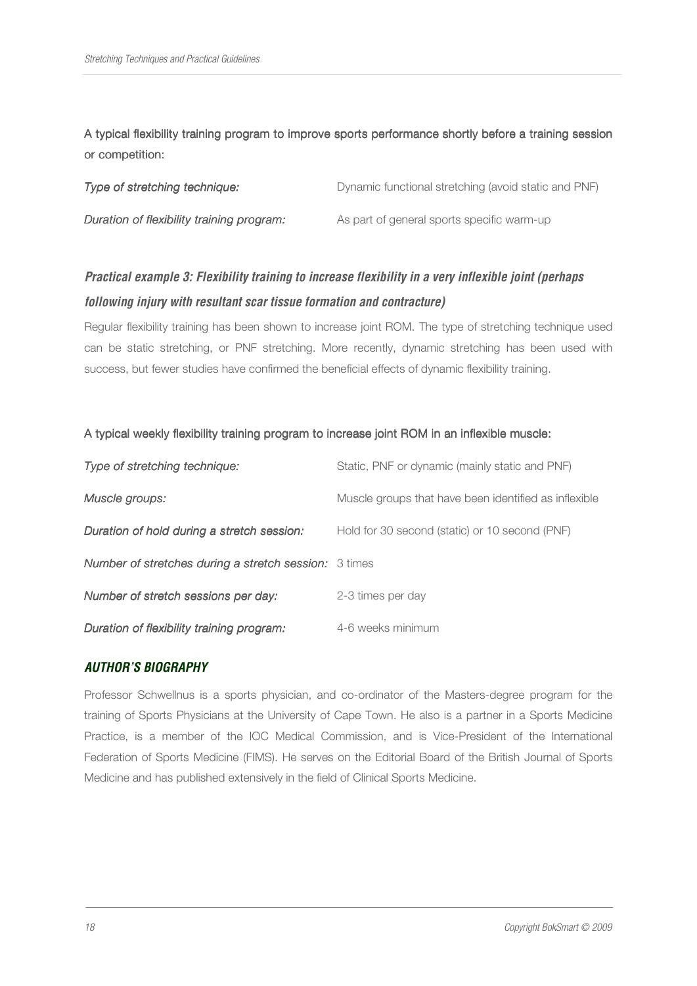A typical flexibility training program to improve sports performance shortly before a training session or competition:

| Type of stretching technique:             | Dynamic functional stretching (avoid static and PNF) |
|-------------------------------------------|------------------------------------------------------|
| Duration of flexibility training program: | As part of general sports specific warm-up           |

# **Practical example 3: Flexibility training to increase flexibility in a very inflexible joint (perhaps following injury with resultant scar tissue formation and contracture)**

Regular flexibility training has been shown to increase joint ROM. The type of stretching technique used can be static stretching, or PNF stretching. More recently, dynamic stretching has been used with success, but fewer studies have confirmed the beneficial effects of dynamic flexibility training.

### A typical weekly flexibility training program to increase joint ROM in an inflexible muscle:

| Type of stretching technique:                                | Static, PNF or dynamic (mainly static and PNF)        |  |
|--------------------------------------------------------------|-------------------------------------------------------|--|
| Muscle groups:                                               | Muscle groups that have been identified as inflexible |  |
| Duration of hold during a stretch session:                   | Hold for 30 second (static) or 10 second (PNF)        |  |
| <b>Number of stretches during a stretch session:</b> 3 times |                                                       |  |
| Number of stretch sessions per day:                          | 2-3 times per day                                     |  |
| Duration of flexibility training program:                    | 4-6 weeks minimum                                     |  |

# **AUTHOR'S BIOGRAPHY**

Professor Schwellnus is a sports physician, and co-ordinator of the Masters-degree program for the training of Sports Physicians at the University of Cape Town. He also is a partner in a Sports Medicine Practice, is a member of the IOC Medical Commission, and is Vice-President of the International Federation of Sports Medicine (FIMS). He serves on the Editorial Board of the British Journal of Sports Medicine and has published extensively in the field of Clinical Sports Medicine.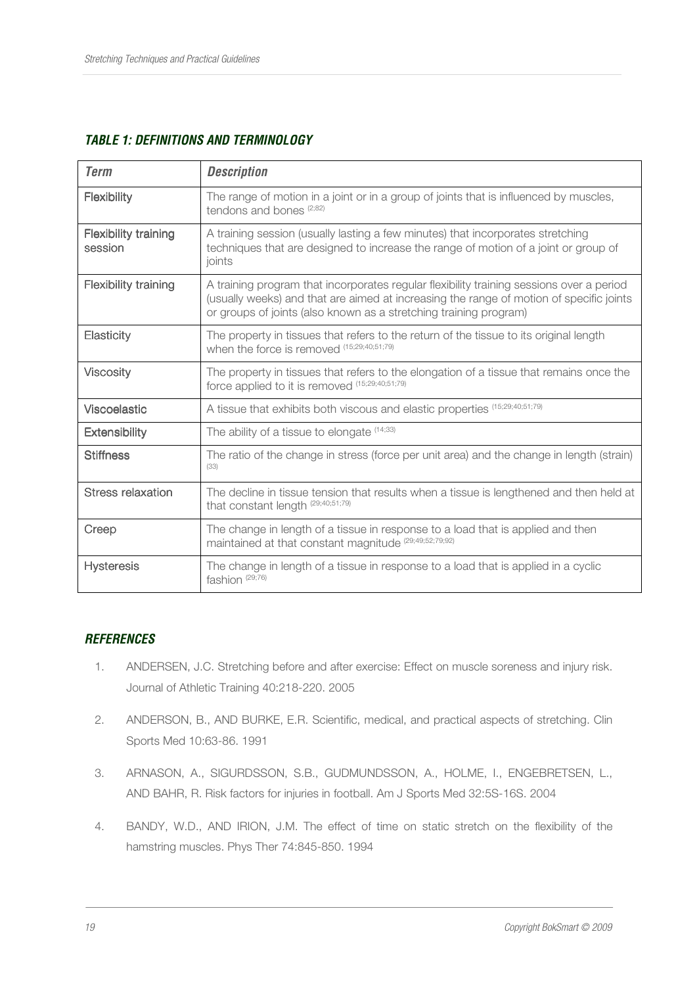| <b>Term</b>                            | <b>Description</b>                                                                                                                                                                                                                                       |
|----------------------------------------|----------------------------------------------------------------------------------------------------------------------------------------------------------------------------------------------------------------------------------------------------------|
| Flexibility                            | The range of motion in a joint or in a group of joints that is influenced by muscles,<br>tendons and bones (2;82)                                                                                                                                        |
| <b>Flexibility training</b><br>session | A training session (usually lasting a few minutes) that incorporates stretching<br>techniques that are designed to increase the range of motion of a joint or group of<br>joints                                                                         |
| <b>Flexibility training</b>            | A training program that incorporates regular flexibility training sessions over a period<br>(usually weeks) and that are aimed at increasing the range of motion of specific joints<br>or groups of joints (also known as a stretching training program) |
| Elasticity                             | The property in tissues that refers to the return of the tissue to its original length<br>when the force is removed (15;29;40;51;79)                                                                                                                     |
| <b>Viscosity</b>                       | The property in tissues that refers to the elongation of a tissue that remains once the<br>force applied to it is removed (15;29;40;51;79)                                                                                                               |
| <b>Viscoelastic</b>                    | A tissue that exhibits both viscous and elastic properties (15;29;40;51;79)                                                                                                                                                                              |
| <b>Extensibility</b>                   | The ability of a tissue to elongate $(14,33)$                                                                                                                                                                                                            |
| <b>Stiffness</b>                       | The ratio of the change in stress (force per unit area) and the change in length (strain)<br>(33)                                                                                                                                                        |
| <b>Stress relaxation</b>               | The decline in tissue tension that results when a tissue is lengthened and then held at<br>that constant length (29;40;51;79)                                                                                                                            |
| Creep                                  | The change in length of a tissue in response to a load that is applied and then<br>maintained at that constant magnitude (29;49;52;79;92)                                                                                                                |
| <b>Hysteresis</b>                      | The change in length of a tissue in response to a load that is applied in a cyclic<br>fashion (29;76)                                                                                                                                                    |

# **TABLE 1: DEFINITIONS AND TERMINOLOGY**

# **REFERENCES**

- 1. ANDERSEN, J.C. Stretching before and after exercise: Effect on muscle soreness and injury risk. Journal of Athletic Training 40:218-220. 2005
- 2. ANDERSON, B., AND BURKE, E.R. Scientific, medical, and practical aspects of stretching. Clin Sports Med 10:63-86. 1991
- 3. ARNASON, A., SIGURDSSON, S.B., GUDMUNDSSON, A., HOLME, I., ENGEBRETSEN, L., AND BAHR, R. Risk factors for injuries in football. Am J Sports Med 32:5S-16S. 2004
- 4. BANDY, W.D., AND IRION, J.M. The effect of time on static stretch on the flexibility of the hamstring muscles. Phys Ther 74:845-850. 1994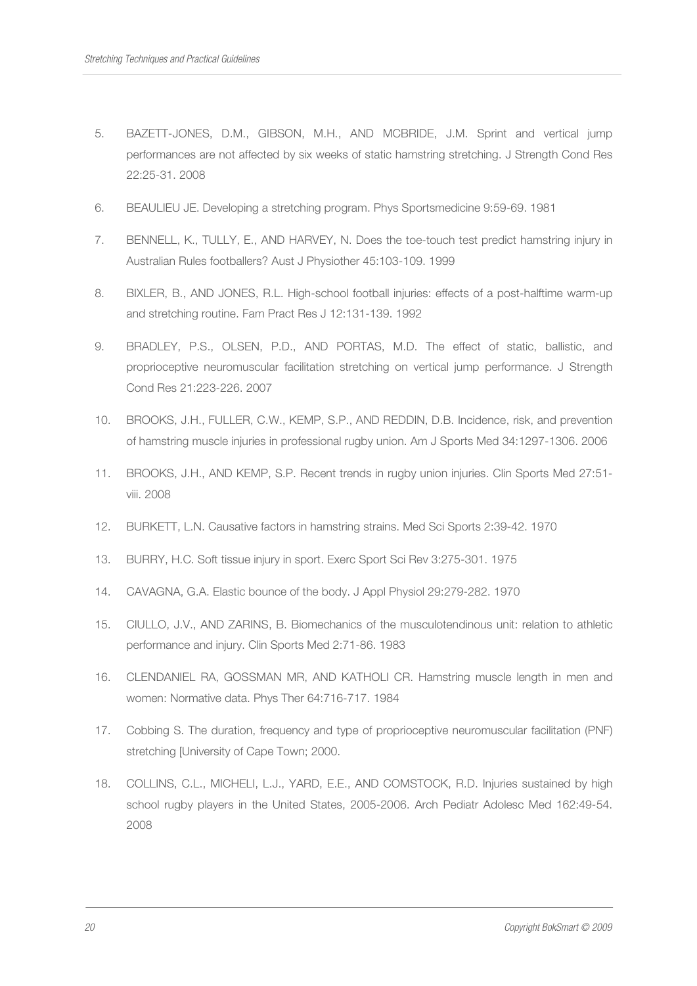- 5. BAZETT-JONES, D.M., GIBSON, M.H., AND MCBRIDE, J.M. Sprint and vertical jump performances are not affected by six weeks of static hamstring stretching. J Strength Cond Res 22:25-31. 2008
- 6. BEAULIEU JE. Developing a stretching program. Phys Sportsmedicine 9:59-69. 1981
- 7. BENNELL, K., TULLY, E., AND HARVEY, N. Does the toe-touch test predict hamstring injury in Australian Rules footballers? Aust J Physiother 45:103-109. 1999
- 8. BIXLER, B., AND JONES, R.L. High-school football injuries: effects of a post-halftime warm-up and stretching routine. Fam Pract Res J 12:131-139. 1992
- 9. BRADLEY, P.S., OLSEN, P.D., AND PORTAS, M.D. The effect of static, ballistic, and proprioceptive neuromuscular facilitation stretching on vertical jump performance. J Strength Cond Res 21:223-226. 2007
- 10. BROOKS, J.H., FULLER, C.W., KEMP, S.P., AND REDDIN, D.B. Incidence, risk, and prevention of hamstring muscle injuries in professional rugby union. Am J Sports Med 34:1297-1306. 2006
- 11. BROOKS, J.H., AND KEMP, S.P. Recent trends in rugby union injuries. Clin Sports Med 27:51 viii. 2008
- 12. BURKETT, L.N. Causative factors in hamstring strains. Med Sci Sports 2:39-42. 1970
- 13. BURRY, H.C. Soft tissue injury in sport. Exerc Sport Sci Rev 3:275-301. 1975
- 14. CAVAGNA, G.A. Elastic bounce of the body. J Appl Physiol 29:279-282. 1970
- 15. CIULLO, J.V., AND ZARINS, B. Biomechanics of the musculotendinous unit: relation to athletic performance and injury. Clin Sports Med 2:71-86. 1983
- 16. CLENDANIEL RA, GOSSMAN MR, AND KATHOLI CR. Hamstring muscle length in men and women: Normative data. Phys Ther 64:716-717. 1984
- 17. Cobbing S. The duration, frequency and type of proprioceptive neuromuscular facilitation (PNF) stretching [University of Cape Town; 2000.
- 18. COLLINS, C.L., MICHELI, L.J., YARD, E.E., AND COMSTOCK, R.D. Injuries sustained by high school rugby players in the United States, 2005-2006. Arch Pediatr Adolesc Med 162:49-54. 2008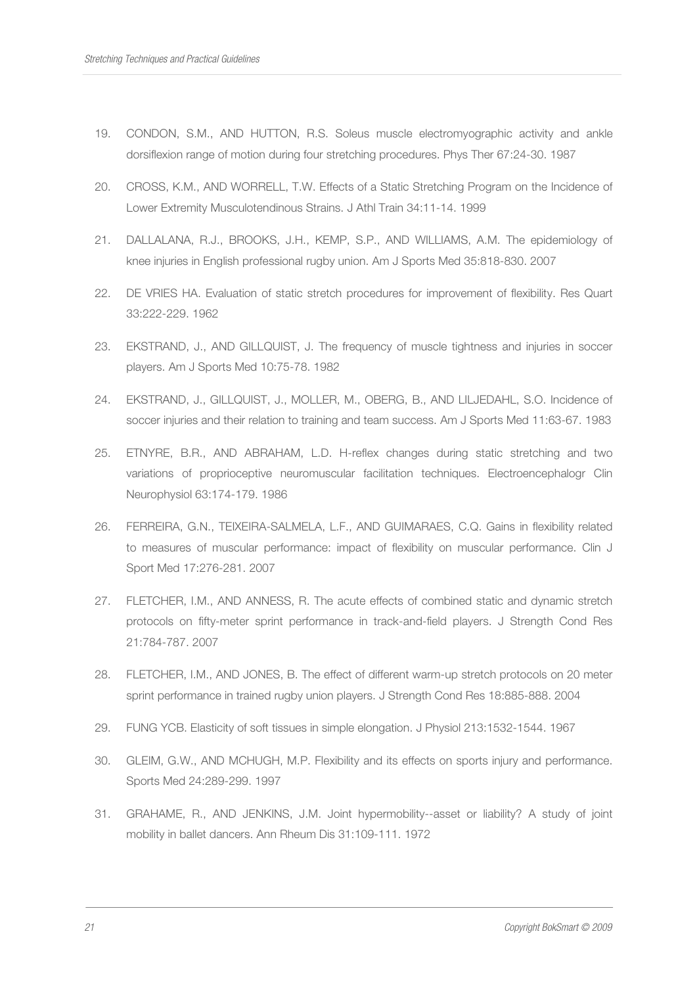- 19. CONDON, S.M., AND HUTTON, R.S. Soleus muscle electromyographic activity and ankle dorsiflexion range of motion during four stretching procedures. Phys Ther 67:24-30. 1987
- 20. CROSS, K.M., AND WORRELL, T.W. Effects of a Static Stretching Program on the Incidence of Lower Extremity Musculotendinous Strains. J Athl Train 34:11-14. 1999
- 21. DALLALANA, R.J., BROOKS, J.H., KEMP, S.P., AND WILLIAMS, A.M. The epidemiology of knee injuries in English professional rugby union. Am J Sports Med 35:818-830. 2007
- 22. DE VRIES HA. Evaluation of static stretch procedures for improvement of flexibility. Res Quart 33:222-229. 1962
- 23. EKSTRAND, J., AND GILLQUIST, J. The frequency of muscle tightness and injuries in soccer players. Am J Sports Med 10:75-78. 1982
- 24. EKSTRAND, J., GILLQUIST, J., MOLLER, M., OBERG, B., AND LILJEDAHL, S.O. Incidence of soccer injuries and their relation to training and team success. Am J Sports Med 11:63-67. 1983
- 25. ETNYRE, B.R., AND ABRAHAM, L.D. H-reflex changes during static stretching and two variations of proprioceptive neuromuscular facilitation techniques. Electroencephalogr Clin Neurophysiol 63:174-179. 1986
- 26. FERREIRA, G.N., TEIXEIRA-SALMELA, L.F., AND GUIMARAES, C.Q. Gains in flexibility related to measures of muscular performance: impact of flexibility on muscular performance. Clin J Sport Med 17:276-281. 2007
- 27. FLETCHER, I.M., AND ANNESS, R. The acute effects of combined static and dynamic stretch protocols on fifty-meter sprint performance in track-and-field players. J Strength Cond Res 21:784-787. 2007
- 28. FLETCHER, I.M., AND JONES, B. The effect of different warm-up stretch protocols on 20 meter sprint performance in trained rugby union players. J Strength Cond Res 18:885-888. 2004
- 29. FUNG YCB. Elasticity of soft tissues in simple elongation. J Physiol 213:1532-1544. 1967
- 30. GLEIM, G.W., AND MCHUGH, M.P. Flexibility and its effects on sports injury and performance. Sports Med 24:289-299. 1997
- 31. GRAHAME, R., AND JENKINS, J.M. Joint hypermobility--asset or liability? A study of joint mobility in ballet dancers. Ann Rheum Dis 31:109-111. 1972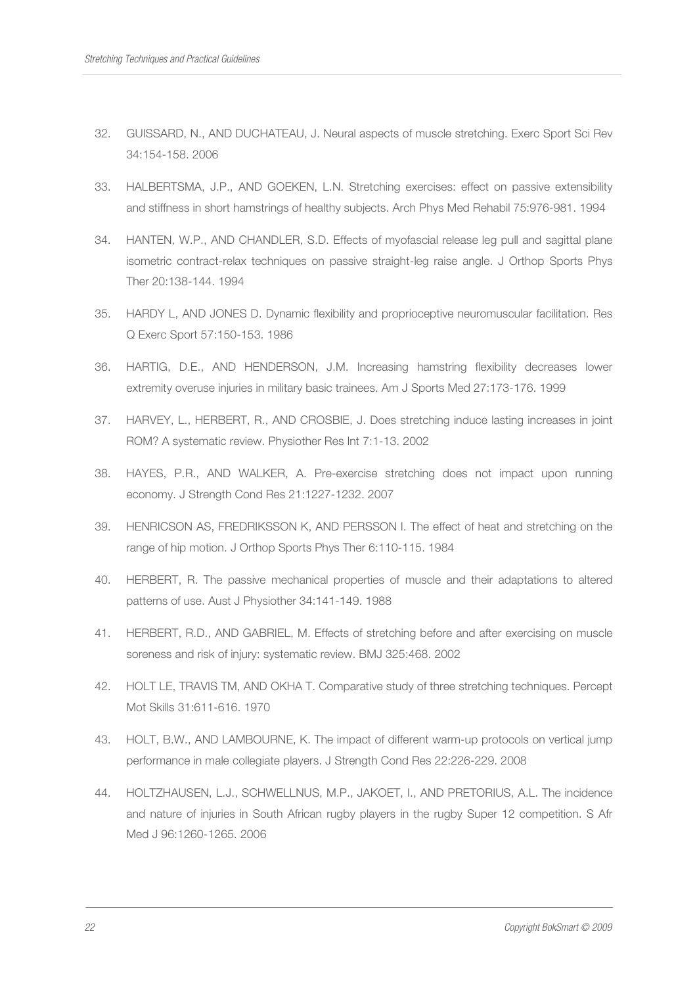- 32. GUISSARD, N., AND DUCHATEAU, J. Neural aspects of muscle stretching. Exerc Sport Sci Rev 34:154-158. 2006
- 33. HALBERTSMA, J.P., AND GOEKEN, L.N. Stretching exercises: effect on passive extensibility and stiffness in short hamstrings of healthy subjects. Arch Phys Med Rehabil 75:976-981. 1994
- 34. HANTEN, W.P., AND CHANDLER, S.D. Effects of myofascial release leg pull and sagittal plane isometric contract-relax techniques on passive straight-leg raise angle. J Orthop Sports Phys Ther 20:138-144. 1994
- 35. HARDY L, AND JONES D. Dynamic flexibility and proprioceptive neuromuscular facilitation. Res Q Exerc Sport 57:150-153. 1986
- 36. HARTIG, D.E., AND HENDERSON, J.M. Increasing hamstring flexibility decreases lower extremity overuse injuries in military basic trainees. Am J Sports Med 27:173-176. 1999
- 37. HARVEY, L., HERBERT, R., AND CROSBIE, J. Does stretching induce lasting increases in joint ROM? A systematic review. Physiother Res Int 7:1-13. 2002
- 38. HAYES, P.R., AND WALKER, A. Pre-exercise stretching does not impact upon running economy. J Strength Cond Res 21:1227-1232. 2007
- 39. HENRICSON AS, FREDRIKSSON K, AND PERSSON I. The effect of heat and stretching on the range of hip motion. J Orthop Sports Phys Ther 6:110-115. 1984
- 40. HERBERT, R. The passive mechanical properties of muscle and their adaptations to altered patterns of use. Aust J Physiother 34:141-149. 1988
- 41. HERBERT, R.D., AND GABRIEL, M. Effects of stretching before and after exercising on muscle soreness and risk of injury: systematic review. BMJ 325:468. 2002
- 42. HOLT LE, TRAVIS TM, AND OKHA T. Comparative study of three stretching techniques. Percept Mot Skills 31:611-616. 1970
- 43. HOLT, B.W., AND LAMBOURNE, K. The impact of different warm-up protocols on vertical jump performance in male collegiate players. J Strength Cond Res 22:226-229. 2008
- 44. HOLTZHAUSEN, L.J., SCHWELLNUS, M.P., JAKOET, I., AND PRETORIUS, A.L. The incidence and nature of injuries in South African rugby players in the rugby Super 12 competition. S Afr Med J 96:1260-1265. 2006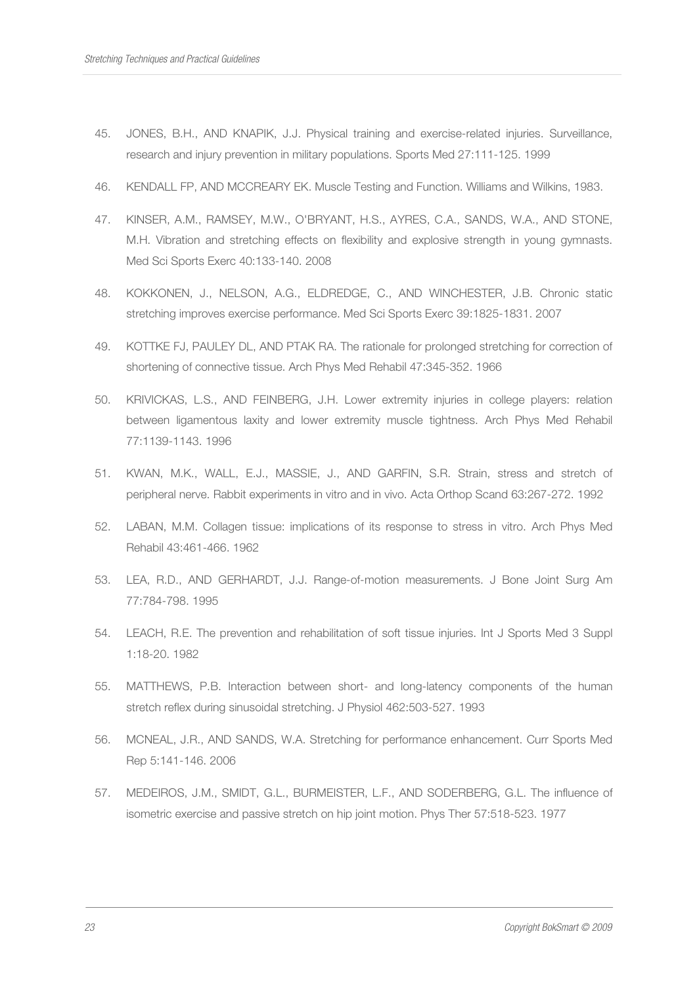- 45. JONES, B.H., AND KNAPIK, J.J. Physical training and exercise-related injuries. Surveillance, research and injury prevention in military populations. Sports Med 27:111-125. 1999
- 46. KENDALL FP, AND MCCREARY EK. Muscle Testing and Function. Williams and Wilkins, 1983.
- 47. KINSER, A.M., RAMSEY, M.W., O'BRYANT, H.S., AYRES, C.A., SANDS, W.A., AND STONE, M.H. Vibration and stretching effects on flexibility and explosive strength in young gymnasts. Med Sci Sports Exerc 40:133-140. 2008
- 48. KOKKONEN, J., NELSON, A.G., ELDREDGE, C., AND WINCHESTER, J.B. Chronic static stretching improves exercise performance. Med Sci Sports Exerc 39:1825-1831. 2007
- 49. KOTTKE FJ, PAULEY DL, AND PTAK RA. The rationale for prolonged stretching for correction of shortening of connective tissue. Arch Phys Med Rehabil 47:345-352. 1966
- 50. KRIVICKAS, L.S., AND FEINBERG, J.H. Lower extremity injuries in college players: relation between ligamentous laxity and lower extremity muscle tightness. Arch Phys Med Rehabil 77:1139-1143. 1996
- 51. KWAN, M.K., WALL, E.J., MASSIE, J., AND GARFIN, S.R. Strain, stress and stretch of peripheral nerve. Rabbit experiments in vitro and in vivo. Acta Orthop Scand 63:267-272. 1992
- 52. LABAN, M.M. Collagen tissue: implications of its response to stress in vitro. Arch Phys Med Rehabil 43:461-466. 1962
- 53. LEA, R.D., AND GERHARDT, J.J. Range-of-motion measurements. J Bone Joint Surg Am 77:784-798. 1995
- 54. LEACH, R.E. The prevention and rehabilitation of soft tissue injuries. Int J Sports Med 3 Suppl 1:18-20. 1982
- 55. MATTHEWS, P.B. Interaction between short- and long-latency components of the human stretch reflex during sinusoidal stretching. J Physiol 462:503-527. 1993
- 56. MCNEAL, J.R., AND SANDS, W.A. Stretching for performance enhancement. Curr Sports Med Rep 5:141-146. 2006
- 57. MEDEIROS, J.M., SMIDT, G.L., BURMEISTER, L.F., AND SODERBERG, G.L. The influence of isometric exercise and passive stretch on hip joint motion. Phys Ther 57:518-523. 1977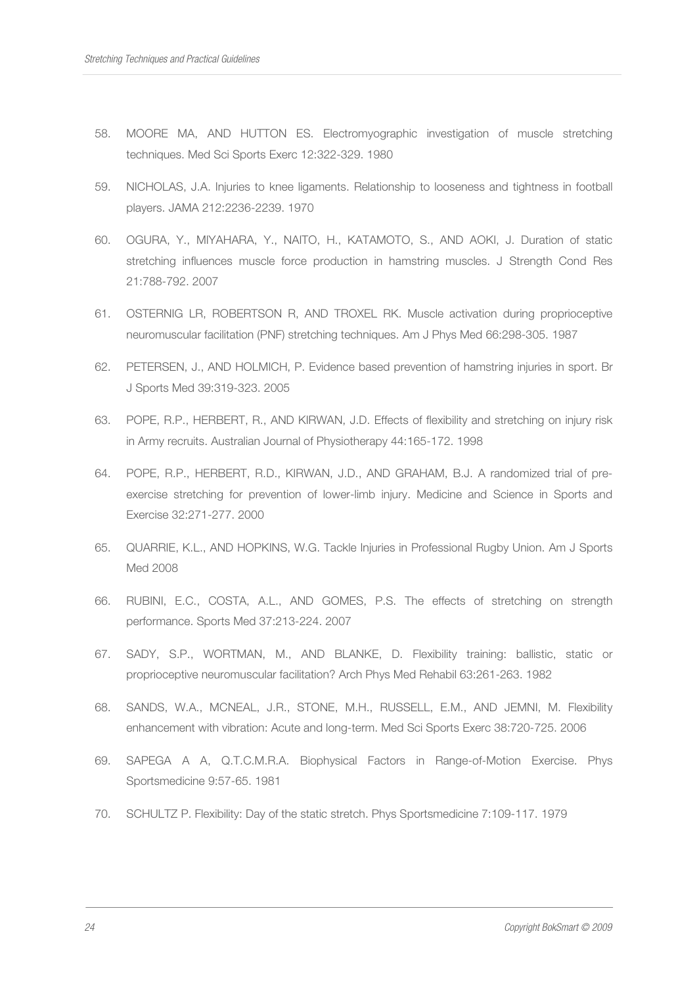- 58. MOORE MA, AND HUTTON ES. Electromyographic investigation of muscle stretching techniques. Med Sci Sports Exerc 12:322-329. 1980
- 59. NICHOLAS, J.A. Injuries to knee ligaments. Relationship to looseness and tightness in football players. JAMA 212:2236-2239. 1970
- 60. OGURA, Y., MIYAHARA, Y., NAITO, H., KATAMOTO, S., AND AOKI, J. Duration of static stretching influences muscle force production in hamstring muscles. J Strength Cond Res 21:788-792. 2007
- 61. OSTERNIG LR, ROBERTSON R, AND TROXEL RK. Muscle activation during proprioceptive neuromuscular facilitation (PNF) stretching techniques. Am J Phys Med 66:298-305. 1987
- 62. PETERSEN, J., AND HOLMICH, P. Evidence based prevention of hamstring injuries in sport. Br J Sports Med 39:319-323. 2005
- 63. POPE, R.P., HERBERT, R., AND KIRWAN, J.D. Effects of flexibility and stretching on injury risk in Army recruits. Australian Journal of Physiotherapy 44:165-172. 1998
- 64. POPE, R.P., HERBERT, R.D., KIRWAN, J.D., AND GRAHAM, B.J. A randomized trial of preexercise stretching for prevention of lower-limb injury. Medicine and Science in Sports and Exercise 32:271-277. 2000
- 65. QUARRIE, K.L., AND HOPKINS, W.G. Tackle Injuries in Professional Rugby Union. Am J Sports Med 2008
- 66. RUBINI, E.C., COSTA, A.L., AND GOMES, P.S. The effects of stretching on strength performance. Sports Med 37:213-224. 2007
- 67. SADY, S.P., WORTMAN, M., AND BLANKE, D. Flexibility training: ballistic, static or proprioceptive neuromuscular facilitation? Arch Phys Med Rehabil 63:261-263. 1982
- 68. SANDS, W.A., MCNEAL, J.R., STONE, M.H., RUSSELL, E.M., AND JEMNI, M. Flexibility enhancement with vibration: Acute and long-term. Med Sci Sports Exerc 38:720-725. 2006
- 69. SAPEGA A A, Q.T.C.M.R.A. Biophysical Factors in Range-of-Motion Exercise. Phys Sportsmedicine 9:57-65. 1981
- 70. SCHULTZ P. Flexibility: Day of the static stretch. Phys Sportsmedicine 7:109-117. 1979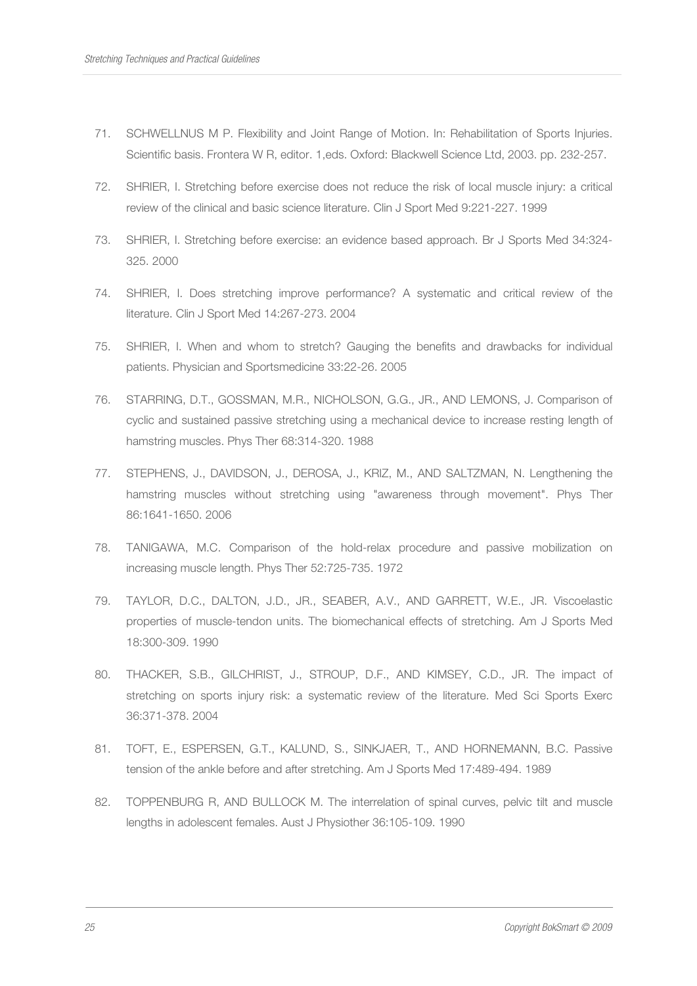- 71. SCHWELLNUS M P. Flexibility and Joint Range of Motion. In: Rehabilitation of Sports Injuries. Scientific basis. Frontera W R, editor. 1,eds. Oxford: Blackwell Science Ltd, 2003. pp. 232-257.
- 72. SHRIER, I. Stretching before exercise does not reduce the risk of local muscle injury: a critical review of the clinical and basic science literature. Clin J Sport Med 9:221-227. 1999
- 73. SHRIER, I. Stretching before exercise: an evidence based approach. Br J Sports Med 34:324- 325. 2000
- 74. SHRIER, I. Does stretching improve performance? A systematic and critical review of the literature. Clin J Sport Med 14:267-273. 2004
- 75. SHRIER, I. When and whom to stretch? Gauging the benefits and drawbacks for individual patients. Physician and Sportsmedicine 33:22-26. 2005
- 76. STARRING, D.T., GOSSMAN, M.R., NICHOLSON, G.G., JR., AND LEMONS, J. Comparison of cyclic and sustained passive stretching using a mechanical device to increase resting length of hamstring muscles. Phys Ther 68:314-320. 1988
- 77. STEPHENS, J., DAVIDSON, J., DEROSA, J., KRIZ, M., AND SALTZMAN, N. Lengthening the hamstring muscles without stretching using "awareness through movement". Phys Ther 86:1641-1650. 2006
- 78. TANIGAWA, M.C. Comparison of the hold-relax procedure and passive mobilization on increasing muscle length. Phys Ther 52:725-735. 1972
- 79. TAYLOR, D.C., DALTON, J.D., JR., SEABER, A.V., AND GARRETT, W.E., JR. Viscoelastic properties of muscle-tendon units. The biomechanical effects of stretching. Am J Sports Med 18:300-309. 1990
- 80. THACKER, S.B., GILCHRIST, J., STROUP, D.F., AND KIMSEY, C.D., JR. The impact of stretching on sports injury risk: a systematic review of the literature. Med Sci Sports Exerc 36:371-378. 2004
- 81. TOFT, E., ESPERSEN, G.T., KALUND, S., SINKJAER, T., AND HORNEMANN, B.C. Passive tension of the ankle before and after stretching. Am J Sports Med 17:489-494. 1989
- 82. TOPPENBURG R, AND BULLOCK M. The interrelation of spinal curves, pelvic tilt and muscle lengths in adolescent females. Aust J Physiother 36:105-109. 1990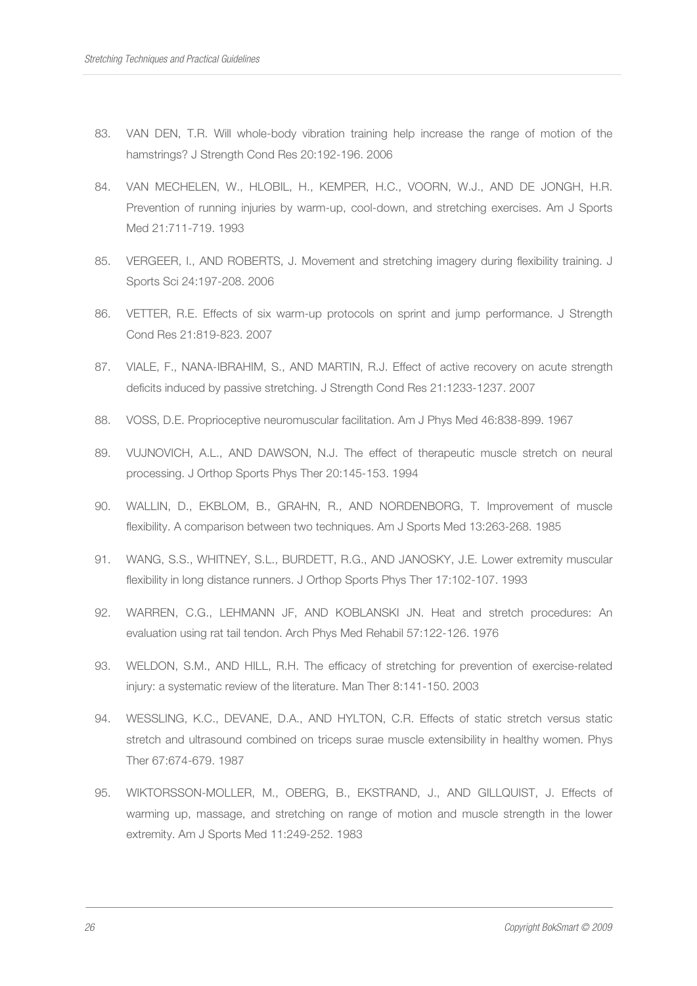- 83. VAN DEN, T.R. Will whole-body vibration training help increase the range of motion of the hamstrings? J Strength Cond Res 20:192-196. 2006
- 84. VAN MECHELEN, W., HLOBIL, H., KEMPER, H.C., VOORN, W.J., AND DE JONGH, H.R. Prevention of running injuries by warm-up, cool-down, and stretching exercises. Am J Sports Med 21:711-719. 1993
- 85. VERGEER, I., AND ROBERTS, J. Movement and stretching imagery during flexibility training. J Sports Sci 24:197-208. 2006
- 86. VETTER, R.E. Effects of six warm-up protocols on sprint and jump performance. J Strength Cond Res 21:819-823. 2007
- 87. VIALE, F., NANA-IBRAHIM, S., AND MARTIN, R.J. Effect of active recovery on acute strength deficits induced by passive stretching. J Strength Cond Res 21:1233-1237. 2007
- 88. VOSS, D.E. Proprioceptive neuromuscular facilitation. Am J Phys Med 46:838-899. 1967
- 89. VUJNOVICH, A.L., AND DAWSON, N.J. The effect of therapeutic muscle stretch on neural processing. J Orthop Sports Phys Ther 20:145-153. 1994
- 90. WALLIN, D., EKBLOM, B., GRAHN, R., AND NORDENBORG, T. Improvement of muscle flexibility. A comparison between two techniques. Am J Sports Med 13:263-268. 1985
- 91. WANG, S.S., WHITNEY, S.L., BURDETT, R.G., AND JANOSKY, J.E. Lower extremity muscular flexibility in long distance runners. J Orthop Sports Phys Ther 17:102-107. 1993
- 92. WARREN, C.G., LEHMANN JF, AND KOBLANSKI JN. Heat and stretch procedures: An evaluation using rat tail tendon. Arch Phys Med Rehabil 57:122-126. 1976
- 93. WELDON, S.M., AND HILL, R.H. The efficacy of stretching for prevention of exercise-related injury: a systematic review of the literature. Man Ther 8:141-150. 2003
- 94. WESSLING, K.C., DEVANE, D.A., AND HYLTON, C.R. Effects of static stretch versus static stretch and ultrasound combined on triceps surae muscle extensibility in healthy women. Phys Ther 67:674-679. 1987
- 95. WIKTORSSON-MOLLER, M., OBERG, B., EKSTRAND, J., AND GILLQUIST, J. Effects of warming up, massage, and stretching on range of motion and muscle strength in the lower extremity. Am J Sports Med 11:249-252. 1983